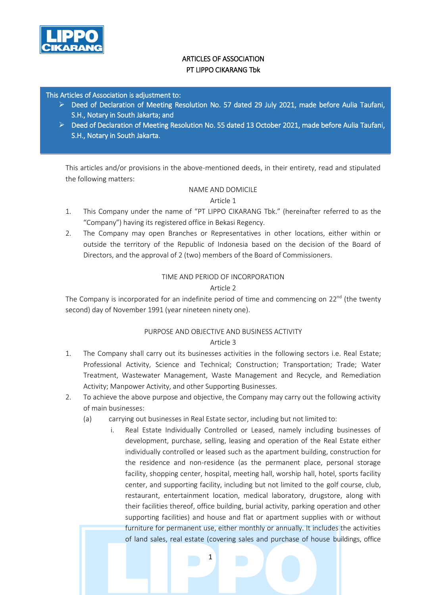

# ARTICLES OF ASSOCIATION PT LIPPO CIKARANG Tbk

#### This Articles of Association is adjustment to:

- $\triangleright$  Deed of Declaration of Meeting Resolution No. 57 dated 29 July 2021, made before Aulia Taufani, S.H., Notary in South Jakarta; and
- $\triangleright$  Deed of Declaration of Meeting Resolution No. 55 dated 13 October 2021, made before Aulia Taufani, S.H., Notary in South Jakarta.

This articles and/or provisions in the above-mentioned deeds, in their entirety, read and stipulated the following matters:

#### NAME AND DOMICILE

#### Article 1

- 1. This Company under the name of "PT LIPPO CIKARANG Tbk." (hereinafter referred to as the "Company") having its registered office in Bekasi Regency.
- 2. The Company may open Branches or Representatives in other locations, either within or outside the territory of the Republic of Indonesia based on the decision of the Board of Directors, and the approval of 2 (two) members of the Board of Commissioners.

#### TIME AND PERIOD OF INCORPORATION

#### Article 2

The Company is incorporated for an indefinite period of time and commencing on  $22^{nd}$  (the twenty second) day of November 1991 (year nineteen ninety one).

# PURPOSE AND OBJECTIVE AND BUSINESS ACTIVITY

- 1. The Company shall carry out its businesses activities in the following sectors i.e. Real Estate; Professional Activity, Science and Technical; Construction; Transportation; Trade; Water Treatment, Wastewater Management, Waste Management and Recycle, and Remediation Activity; Manpower Activity, and other Supporting Businesses.
- 2. To achieve the above purpose and objective, the Company may carry out the following activity of main businesses:
	- (a) carrying out businesses in Real Estate sector, including but not limited to:
		- i. Real Estate Individually Controlled or Leased, namely including businesses of development, purchase, selling, leasing and operation of the Real Estate either individually controlled or leased such as the apartment building, construction for the residence and non-residence (as the permanent place, personal storage facility, shopping center, hospital, meeting hall, worship hall, hotel, sports facility center, and supporting facility, including but not limited to the golf course, club, restaurant, entertainment location, medical laboratory, drugstore, along with their facilities thereof, office building, burial activity, parking operation and other supporting facilities) and house and flat or apartment supplies with or without furniture for permanent use, either monthly or annually. It includes the activities of land sales, real estate (covering sales and purchase of house buildings, office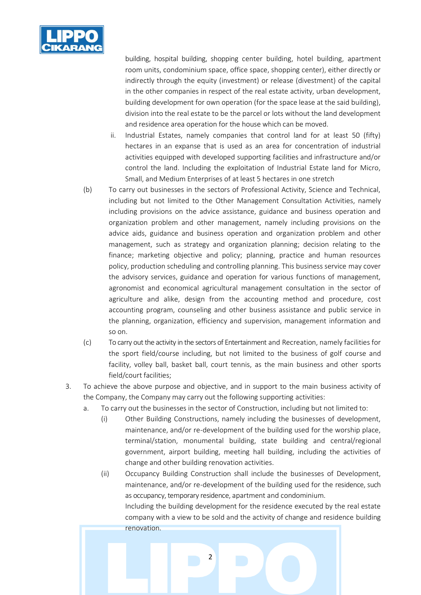

building, hospital building, shopping center building, hotel building, apartment room units, condominium space, office space, shopping center), either directly or indirectly through the equity (investment) or release (divestment) of the capital in the other companies in respect of the real estate activity, urban development, building development for own operation (for the space lease at the said building), division into the real estate to be the parcel or lots without the land development and residence area operation for the house which can be moved.

- ii. Industrial Estates, namely companies that control land for at least 50 (fifty) hectares in an expanse that is used as an area for concentration of industrial activities equipped with developed supporting facilities and infrastructure and/or control the land. Including the exploitation of Industrial Estate land for Micro, Small, and Medium Enterprises of at least 5 hectares in one stretch
- (b) To carry out businesses in the sectors of Professional Activity, Science and Technical, including but not limited to the Other Management Consultation Activities, namely including provisions on the advice assistance, guidance and business operation and organization problem and other management, namely including provisions on the advice aids, guidance and business operation and organization problem and other management, such as strategy and organization planning; decision relating to the finance; marketing objective and policy; planning, practice and human resources policy, production scheduling and controlling planning. This business service may cover the advisory services, guidance and operation for various functions of management, agronomist and economical agricultural management consultation in the sector of agriculture and alike, design from the accounting method and procedure, cost accounting program, counseling and other business assistance and public service in the planning, organization, efficiency and supervision, management information and so on.
- (c) To carry out the activity in the sectors of Entertainment and Recreation, namely facilities for the sport field/course including, but not limited to the business of golf course and facility, volley ball, basket ball, court tennis, as the main business and other sports field/court facilities;
- 3. To achieve the above purpose and objective, and in support to the main business activity of the Company, the Company may carry out the following supporting activities:
	- a. To carry out the businesses in the sector of Construction, including but not limited to:
		- (i) Other Building Constructions, namely including the businesses of development, maintenance, and/or re-development of the building used for the worship place, terminal/station, monumental building, state building and central/regional government, airport building, meeting hall building, including the activities of change and other building renovation activities.
		- (ii) Occupancy Building Construction shall include the businesses of Development, maintenance, and/or re-development of the building used for the residence, such as occupancy, temporary residence, apartment and condominium. Including the building development for the residence executed by the real estate company with a view to be sold and the activity of change and residence building

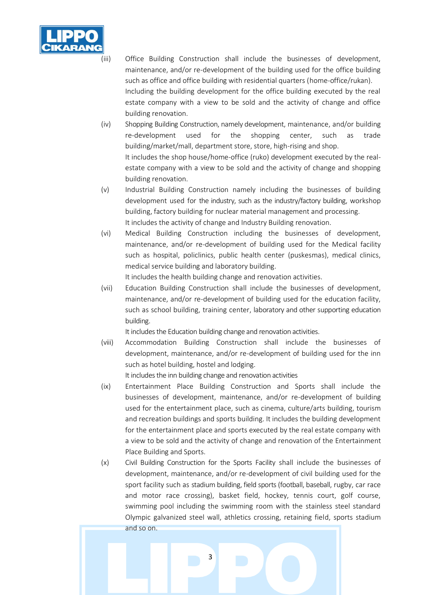

(iii) Office Building Construction shall include the businesses of development, maintenance, and/or re-development of the building used for the office building such as office and office building with residential quarters (home-office/rukan). Including the building development for the office building executed by the real estate company with a view to be sold and the activity of change and office building renovation.

(iv) Shopping Building Construction, namely development, maintenance, and/or building re-development used for the shopping center, such as trade building/market/mall, department store, store, high-rising and shop. It includes the shop house/home-office (ruko) development executed by the realestate company with a view to be sold and the activity of change and shopping building renovation.

- (v) Industrial Building Construction namely including the businesses of building development used for the industry, such as the industry/factory building, workshop building, factory building for nuclear material management and processing. It includes the activity of change and Industry Building renovation.
- (vi) Medical Building Construction including the businesses of development, maintenance, and/or re-development of building used for the Medical facility such as hospital, policlinics, public health center (puskesmas), medical clinics, medical service building and laboratory building.

It includes the health building change and renovation activities.

(vii) Education Building Construction shall include the businesses of development, maintenance, and/or re-development of building used for the education facility, such as school building, training center, laboratory and other supporting education building.

It includes the Education building change and renovation activities.

(viii) Accommodation Building Construction shall include the businesses of development, maintenance, and/or re-development of building used for the inn such as hotel building, hostel and lodging.

It includes the inn building change and renovation activities

- (ix) Entertainment Place Building Construction and Sports shall include the businesses of development, maintenance, and/or re-development of building used for the entertainment place, such as cinema, culture/arts building, tourism and recreation buildings and sports building. It includes the building development for the entertainment place and sports executed by the real estate company with a view to be sold and the activity of change and renovation of the Entertainment Place Building and Sports.
- (x) Civil Building Construction for the Sports Facility shall include the businesses of development, maintenance, and/or re-development of civil building used for the sport facility such as stadium building, field sports (football, baseball, rugby, car race and motor race crossing), basket field, hockey, tennis court, golf course, swimming pool including the swimming room with the stainless steel standard Olympic galvanized steel wall, athletics crossing, retaining field, sports stadium and so on.

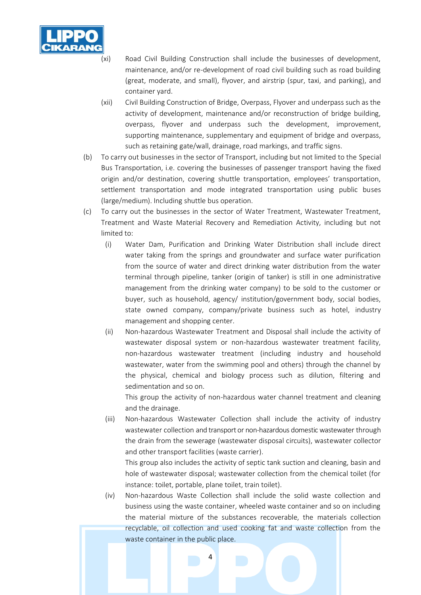

- (xi) Road Civil Building Construction shall include the businesses of development, maintenance, and/or re-development of road civil building such as road building (great, moderate, and small), flyover, and airstrip (spur, taxi, and parking), and container yard.
- (xii) Civil Building Construction of Bridge, Overpass, Flyover and underpass such as the activity of development, maintenance and/or reconstruction of bridge building, overpass, flyover and underpass such the development, improvement, supporting maintenance, supplementary and equipment of bridge and overpass, such as retaining gate/wall, drainage, road markings, and traffic signs.
- (b) To carry out businesses in the sector of Transport, including but not limited to the Special Bus Transportation, i.e. covering the businesses of passenger transport having the fixed origin and/or destination, covering shuttle transportation, employees' transportation, settlement transportation and mode integrated transportation using public buses (large/medium). Including shuttle bus operation.
- (c) To carry out the businesses in the sector of Water Treatment, Wastewater Treatment, Treatment and Waste Material Recovery and Remediation Activity, including but not limited to:
	- (i) Water Dam, Purification and Drinking Water Distribution shall include direct water taking from the springs and groundwater and surface water purification from the source of water and direct drinking water distribution from the water terminal through pipeline, tanker (origin of tanker) is still in one administrative management from the drinking water company) to be sold to the customer or buyer, such as household, agency/ institution/government body, social bodies, state owned company, company/private business such as hotel, industry management and shopping center.
	- (ii) Non-hazardous Wastewater Treatment and Disposal shall include the activity of wastewater disposal system or non-hazardous wastewater treatment facility, non-hazardous wastewater treatment (including industry and household wastewater, water from the swimming pool and others) through the channel by the physical, chemical and biology process such as dilution, filtering and sedimentation and so on.

This group the activity of non-hazardous water channel treatment and cleaning and the drainage.

(iii) Non-hazardous Wastewater Collection shall include the activity of industry wastewater collection and transport or non-hazardous domestic wastewater through the drain from the sewerage (wastewater disposal circuits), wastewater collector and other transport facilities (waste carrier).

This group also includes the activity of septic tank suction and cleaning, basin and hole of wastewater disposal; wastewater collection from the chemical toilet (for instance: toilet, portable, plane toilet, train toilet).

(iv) Non-hazardous Waste Collection shall include the solid waste collection and business using the waste container, wheeled waste container and so on including the material mixture of the substances recoverable, the materials collection recyclable, oil collection and used cooking fat and waste collection from the waste container in the public place.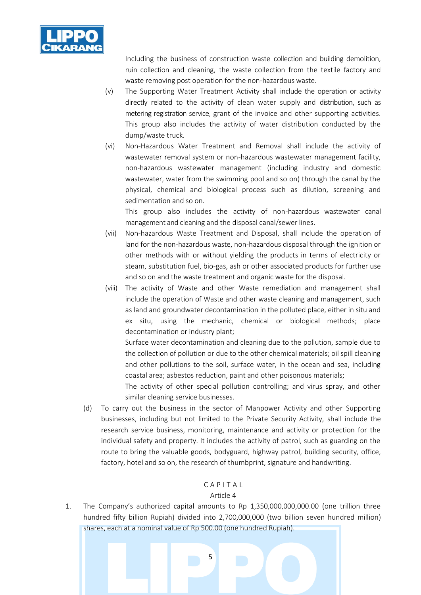

Including the business of construction waste collection and building demolition, ruin collection and cleaning, the waste collection from the textile factory and waste removing post operation for the non-hazardous waste.

- (v) The Supporting Water Treatment Activity shall include the operation or activity directly related to the activity of clean water supply and distribution, such as metering registration service, grant of the invoice and other supporting activities. This group also includes the activity of water distribution conducted by the dump/waste truck.
- (vi) Non-Hazardous Water Treatment and Removal shall include the activity of wastewater removal system or non-hazardous wastewater management facility, non-hazardous wastewater management (including industry and domestic wastewater, water from the swimming pool and so on) through the canal by the physical, chemical and biological process such as dilution, screening and sedimentation and so on.

This group also includes the activity of non-hazardous wastewater canal management and cleaning and the disposal canal/sewer lines.

- (vii) Non-hazardous Waste Treatment and Disposal, shall include the operation of land for the non-hazardous waste, non-hazardous disposal through the ignition or other methods with or without yielding the products in terms of electricity or steam, substitution fuel, bio-gas, ash or other associated products for further use and so on and the waste treatment and organic waste for the disposal.
- (viii) The activity of Waste and other Waste remediation and management shall include the operation of Waste and other waste cleaning and management, such as land and groundwater decontamination in the polluted place, either in situ and ex situ, using the mechanic, chemical or biological methods; place decontamination or industry plant;

Surface water decontamination and cleaning due to the pollution, sample due to the collection of pollution or due to the other chemical materials; oil spill cleaning and other pollutions to the soil, surface water, in the ocean and sea, including coastal area; asbestos reduction, paint and other poisonous materials;

The activity of other special pollution controlling; and virus spray, and other similar cleaning service businesses.

(d) To carry out the business in the sector of Manpower Activity and other Supporting businesses, including but not limited to the Private Security Activity, shall include the research service business, monitoring, maintenance and activity or protection for the individual safety and property. It includes the activity of patrol, such as guarding on the route to bring the valuable goods, bodyguard, highway patrol, building security, office, factory, hotel and so on, the research of thumbprint, signature and handwriting.

## $C$   $A$   $P$   $T$   $A$   $I$

#### Article 4

1. The Company's authorized capital amounts to Rp 1,350,000,000,000.00 (one trillion three hundred fifty billion Rupiah) divided into 2,700,000,000 (two billion seven hundred million) shares, each at a nominal value of Rp 500.00 (one hundred Rupiah).

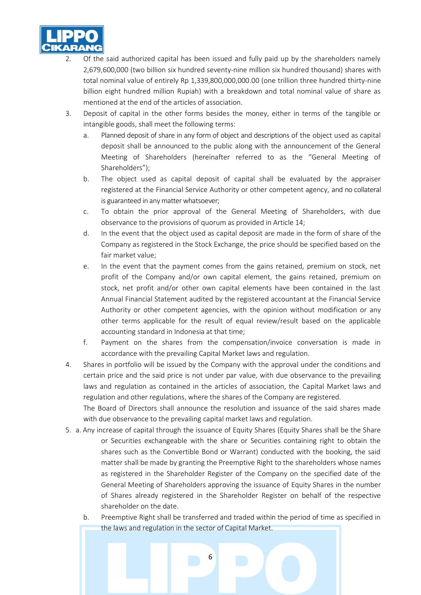

- 2. Of the said authorized capital has been issued and fully paid up by the shareholders namely 2,679,600,000 (two billion six hundred seventy-nine million six hundred thousand) shares with total nominal value of entirely Rp 1,339,800,000,000.00 (one trillion three hundred thirty-nine billion eight hundred million Rupiah) with a breakdown and total nominal value of share as mentioned at the end of the articles of association.
- 3. Deposit of capital in the other forms besides the money, either in terms of the tangible or intangible goods, shall meet the following terms:
	- a. Planned deposit of share in any form of object and descriptions of the object used as capital deposit shall be announced to the public along with the announcement of the General Meeting of Shareholders (hereinafter referred to as the "General Meeting of Shareholders");
	- b. The object used as capital deposit of capital shall be evaluated by the appraiser registered at the Financial Service Authority or other competent agency, and no collateral is guaranteed in any matter whatsoever;
	- c. To obtain the prior approval of the General Meeting of Shareholders, with due observance to the provisions of quorum as provided in Article 14;
	- d. In the event that the object used as capital deposit are made in the form of share of the Company as registered in the Stock Exchange, the price should be specified based on the fair market value;
	- e. In the event that the payment comes from the gains retained, premium on stock, net profit of the Company and/or own capital element, the gains retained, premium on stock, net profit and/or other own capital elements have been contained in the last Annual Financial Statement audited by the registered accountant at the Financial Service Authority or other competent agencies, with the opinion without modification or any other terms applicable for the result of equal review/result based on the applicable accounting standard in Indonesia at that time;
	- f. Payment on the shares from the compensation/invoice conversation is made in accordance with the prevailing Capital Market laws and regulation.
- 4. Shares in portfolio will be issued by the Company with the approval under the conditions and certain price and the said price is not under par value, with due observance to the prevailing laws and regulation as contained in the articles of association, the Capital Market laws and regulation and other regulations, where the shares of the Company are registered.

The Board of Directors shall announce the resolution and issuance of the said shares made with due observance to the prevailing capital market laws and regulation.

- 5. a. Any increase of capital through the issuance of Equity Shares (Equity Shares shall be the Share or Securities exchangeable with the share or Securities containing right to obtain the shares such as the Convertible Bond or Warrant) conducted with the booking, the said matter shall be made by granting the Preemptive Right to the shareholders whose names as registered in the Shareholder Register of the Company on the specified date of the General Meeting of Shareholders approving the issuance of Equity Shares in the number of Shares already registered in the Shareholder Register on behalf of the respective shareholder on the date.
	- b. Preemptive Right shall be transferred and traded within the period of time as specified in the laws and regulation in the sector of Capital Market.

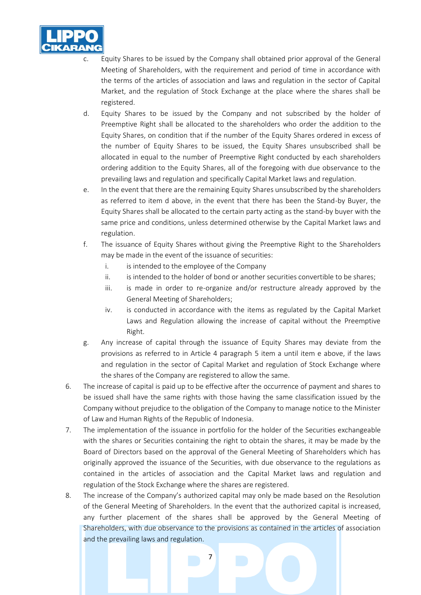

- Equity Shares to be issued by the Company shall obtained prior approval of the General Meeting of Shareholders, with the requirement and period of time in accordance with the terms of the articles of association and laws and regulation in the sector of Capital Market, and the regulation of Stock Exchange at the place where the shares shall be registered.
- d. Equity Shares to be issued by the Company and not subscribed by the holder of Preemptive Right shall be allocated to the shareholders who order the addition to the Equity Shares, on condition that if the number of the Equity Shares ordered in excess of the number of Equity Shares to be issued, the Equity Shares unsubscribed shall be allocated in equal to the number of Preemptive Right conducted by each shareholders ordering addition to the Equity Shares, all of the foregoing with due observance to the prevailing laws and regulation and specifically Capital Market laws and regulation.
- e. In the event that there are the remaining Equity Shares unsubscribed by the shareholders as referred to item d above, in the event that there has been the Stand-by Buyer, the Equity Shares shall be allocated to the certain party acting as the stand-by buyer with the same price and conditions, unless determined otherwise by the Capital Market laws and regulation.
- f. The issuance of Equity Shares without giving the Preemptive Right to the Shareholders may be made in the event of the issuance of securities:
	- i. is intended to the employee of the Company
	- ii. is intended to the holder of bond or another securities convertible to be shares;
	- iii. is made in order to re-organize and/or restructure already approved by the General Meeting of Shareholders;
	- iv. is conducted in accordance with the items as regulated by the Capital Market Laws and Regulation allowing the increase of capital without the Preemptive Right.
- g. Any increase of capital through the issuance of Equity Shares may deviate from the provisions as referred to in Article 4 paragraph 5 item a until item e above, if the laws and regulation in the sector of Capital Market and regulation of Stock Exchange where the shares of the Company are registered to allow the same.
- 6. The increase of capital is paid up to be effective after the occurrence of payment and shares to be issued shall have the same rights with those having the same classification issued by the Company without prejudice to the obligation of the Company to manage notice to the Minister of Law and Human Rights of the Republic of Indonesia.
- 7. The implementation of the issuance in portfolio for the holder of the Securities exchangeable with the shares or Securities containing the right to obtain the shares, it may be made by the Board of Directors based on the approval of the General Meeting of Shareholders which has originally approved the issuance of the Securities, with due observance to the regulations as contained in the articles of association and the Capital Market laws and regulation and regulation of the Stock Exchange where the shares are registered.
- 8. The increase of the Company's authorized capital may only be made based on the Resolution of the General Meeting of Shareholders. In the event that the authorized capital is increased, any further placement of the shares shall be approved by the General Meeting of Shareholders, with due observance to the provisions as contained in the articles of association and the prevailing laws and regulation.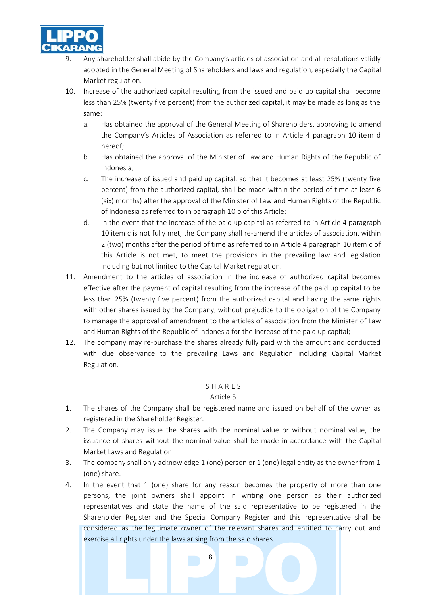

- Any shareholder shall abide by the Company's articles of association and all resolutions validly adopted in the General Meeting of Shareholders and laws and regulation, especially the Capital Market regulation.
- 10. Increase of the authorized capital resulting from the issued and paid up capital shall become less than 25% (twenty five percent) from the authorized capital, it may be made as long as the same:
	- a. Has obtained the approval of the General Meeting of Shareholders, approving to amend the Company's Articles of Association as referred to in Article 4 paragraph 10 item d hereof;
	- b. Has obtained the approval of the Minister of Law and Human Rights of the Republic of Indonesia;
	- c. The increase of issued and paid up capital, so that it becomes at least 25% (twenty five percent) from the authorized capital, shall be made within the period of time at least 6 (six) months) after the approval of the Minister of Law and Human Rights of the Republic of Indonesia as referred to in paragraph 10.b of this Article;
	- d. In the event that the increase of the paid up capital as referred to in Article 4 paragraph 10 item c is not fully met, the Company shall re-amend the articles of association, within 2 (two) months after the period of time as referred to in Article 4 paragraph 10 item c of this Article is not met, to meet the provisions in the prevailing law and legislation including but not limited to the Capital Market regulation.
- 11. Amendment to the articles of association in the increase of authorized capital becomes effective after the payment of capital resulting from the increase of the paid up capital to be less than 25% (twenty five percent) from the authorized capital and having the same rights with other shares issued by the Company, without prejudice to the obligation of the Company to manage the approval of amendment to the articles of association from the Minister of Law and Human Rights of the Republic of Indonesia for the increase of the paid up capital;
- 12. The company may re-purchase the shares already fully paid with the amount and conducted with due observance to the prevailing Laws and Regulation including Capital Market Regulation.

#### S H A R E S

#### Article 5

- 1. The shares of the Company shall be registered name and issued on behalf of the owner as registered in the Shareholder Register.
- 2. The Company may issue the shares with the nominal value or without nominal value, the issuance of shares without the nominal value shall be made in accordance with the Capital Market Laws and Regulation.
- 3. The company shall only acknowledge 1 (one) person or 1 (one) legal entity as the owner from 1 (one) share.
- 4. In the event that 1 (one) share for any reason becomes the property of more than one persons, the joint owners shall appoint in writing one person as their authorized representatives and state the name of the said representative to be registered in the Shareholder Register and the Special Company Register and this representative shall be considered as the legitimate owner of the relevant shares and entitled to carry out and exercise all rights under the laws arising from the said shares.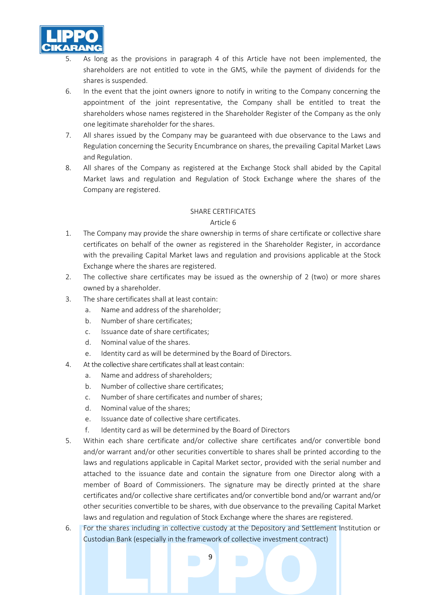

- As long as the provisions in paragraph 4 of this Article have not been implemented, the shareholders are not entitled to vote in the GMS, while the payment of dividends for the shares is suspended.
- 6. In the event that the joint owners ignore to notify in writing to the Company concerning the appointment of the joint representative, the Company shall be entitled to treat the shareholders whose names registered in the Shareholder Register of the Company as the only one legitimate shareholder for the shares.
- 7. All shares issued by the Company may be guaranteed with due observance to the Laws and Regulation concerning the Security Encumbrance on shares, the prevailing Capital Market Laws and Regulation.
- 8. All shares of the Company as registered at the Exchange Stock shall abided by the Capital Market laws and regulation and Regulation of Stock Exchange where the shares of the Company are registered.

#### SHARE CERTIFICATES

- 1. The Company may provide the share ownership in terms of share certificate or collective share certificates on behalf of the owner as registered in the Shareholder Register, in accordance with the prevailing Capital Market laws and regulation and provisions applicable at the Stock Exchange where the shares are registered.
- 2. The collective share certificates may be issued as the ownership of 2 (two) or more shares owned by a shareholder.
- 3. The share certificates shall at least contain:
	- a. Name and address of the shareholder;
	- b. Number of share certificates;
	- c. Issuance date of share certificates;
	- d. Nominal value of the shares.
	- e. Identity card as will be determined by the Board of Directors.
- 4. At the collective share certificates shall at least contain:
	- a. Name and address of shareholders;
	- b. Number of collective share certificates;
	- c. Number of share certificates and number of shares;
	- d. Nominal value of the shares;
	- e. Issuance date of collective share certificates.
	- f. Identity card as will be determined by the Board of Directors
- 5. Within each share certificate and/or collective share certificates and/or convertible bond and/or warrant and/or other securities convertible to shares shall be printed according to the laws and regulations applicable in Capital Market sector, provided with the serial number and attached to the issuance date and contain the signature from one Director along with a member of Board of Commissioners. The signature may be directly printed at the share certificates and/or collective share certificates and/or convertible bond and/or warrant and/or other securities convertible to be shares, with due observance to the prevailing Capital Market laws and regulation and regulation of Stock Exchange where the shares are registered.
- 6. For the shares including in collective custody at the Depository and Settlement Institution or Custodian Bank (especially in the framework of collective investment contract)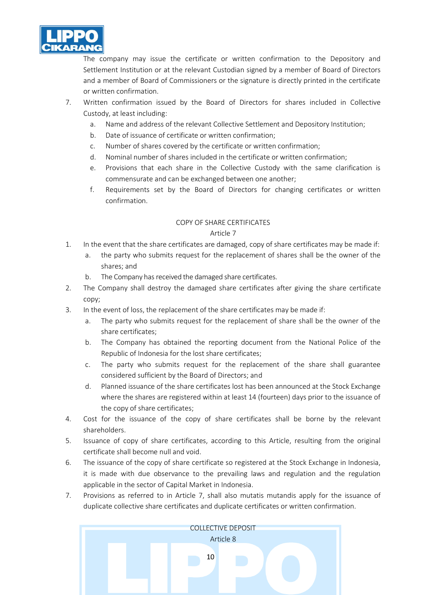

The company may issue the certificate or written confirmation to the Depository and Settlement Institution or at the relevant Custodian signed by a member of Board of Directors and a member of Board of Commissioners or the signature is directly printed in the certificate or written confirmation.

- 7. Written confirmation issued by the Board of Directors for shares included in Collective Custody, at least including:
	- a. Name and address of the relevant Collective Settlement and Depository Institution;
	- b. Date of issuance of certificate or written confirmation;
	- c. Number of shares covered by the certificate or written confirmation;
	- d. Nominal number of shares included in the certificate or written confirmation;
	- e. Provisions that each share in the Collective Custody with the same clarification is commensurate and can be exchanged between one another;
	- f. Requirements set by the Board of Directors for changing certificates or written confirmation.

## COPY OF SHARE CERTIFICATES

- 1. In the event that the share certificates are damaged, copy of share certificates may be made if:
	- a. the party who submits request for the replacement of shares shall be the owner of the shares; and
	- b. The Company has received the damaged share certificates.
- 2. The Company shall destroy the damaged share certificates after giving the share certificate copy;
- 3. In the event of loss, the replacement of the share certificates may be made if:
	- a. The party who submits request for the replacement of share shall be the owner of the share certificates;
	- b. The Company has obtained the reporting document from the National Police of the Republic of Indonesia for the lost share certificates;
	- c. The party who submits request for the replacement of the share shall guarantee considered sufficient by the Board of Directors; and
	- d. Planned issuance of the share certificates lost has been announced at the Stock Exchange where the shares are registered within at least 14 (fourteen) days prior to the issuance of the copy of share certificates;
- 4. Cost for the issuance of the copy of share certificates shall be borne by the relevant shareholders.
- 5. Issuance of copy of share certificates, according to this Article, resulting from the original certificate shall become null and void.
- 6. The issuance of the copy of share certificate so registered at the Stock Exchange in Indonesia, it is made with due observance to the prevailing laws and regulation and the regulation applicable in the sector of Capital Market in Indonesia.
- 7. Provisions as referred to in Article 7, shall also mutatis mutandis apply for the issuance of duplicate collective share certificates and duplicate certificates or written confirmation.

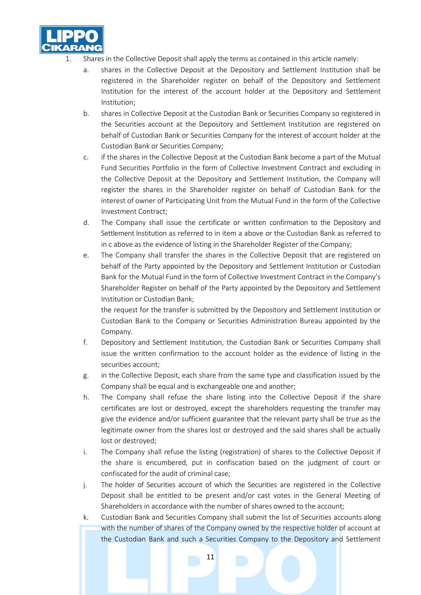

- Shares in the Collective Deposit shall apply the terms as contained in this article namely:
	- a. shares in the Collective Deposit at the Depository and Settlement Institution shall be registered in the Shareholder register on behalf of the Depository and Settlement Institution for the interest of the account holder at the Depository and Settlement Institution;
	- b. shares in Collective Deposit at the Custodian Bank or Securities Company so registered in the Securities account at the Depository and Settlement Institution are registered on behalf of Custodian Bank or Securities Company for the interest of account holder at the Custodian Bank or Securities Company;
	- c. if the shares in the Collective Deposit at the Custodian Bank become a part of the Mutual Fund Securities Portfolio in the form of Collective Investment Contract and excluding in the Collective Deposit at the Depository and Settlement Institution, the Company will register the shares in the Shareholder register on behalf of Custodian Bank for the interest of owner of Participating Unit from the Mutual Fund in the form of the Collective Investment Contract;
	- d. The Company shall issue the certificate or written confirmation to the Depository and Settlement Institution as referred to in item a above or the Custodian Bank as referred to in c above as the evidence of listing in the Shareholder Register of the Company;
	- e. The Company shall transfer the shares in the Collective Deposit that are registered on behalf of the Party appointed by the Depository and Settlement Institution or Custodian Bank for the Mutual Fund in the form of Collective Investment Contract in the Company's Shareholder Register on behalf of the Party appointed by the Depository and Settlement Institution or Custodian Bank;

the request for the transfer is submitted by the Depository and Settlement Institution or Custodian Bank to the Company or Securities Administration Bureau appointed by the Company.

- f. Depository and Settlement Institution, the Custodian Bank or Securities Company shall issue the written confirmation to the account holder as the evidence of listing in the securities account;
- g. in the Collective Deposit, each share from the same type and classification issued by the Company shall be equal and is exchangeable one and another;
- h. The Company shall refuse the share listing into the Collective Deposit if the share certificates are lost or destroyed, except the shareholders requesting the transfer may give the evidence and/or sufficient guarantee that the relevant party shall be true as the legitimate owner from the shares lost or destroyed and the said shares shall be actually lost or destroyed;
- i. The Company shall refuse the listing (registration) of shares to the Collective Deposit if the share is encumbered, put in confiscation based on the judgment of court or confiscated for the audit of criminal case;
- j. The holder of Securities account of which the Securities are registered in the Collective Deposit shall be entitled to be present and/or cast votes in the General Meeting of Shareholders in accordance with the number of shares owned to the account;
- k. Custodian Bank and Securities Company shall submit the list of Securities accounts along with the number of shares of the Company owned by the respective holder of account at the Custodian Bank and such a Securities Company to the Depository and Settlement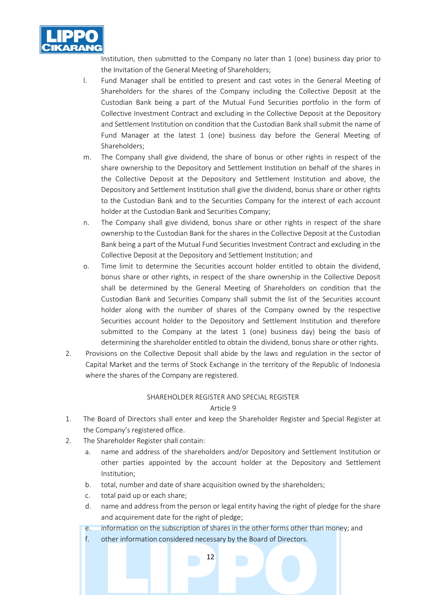

Institution, then submitted to the Company no later than 1 (one) business day prior to the Invitation of the General Meeting of Shareholders;

- l. Fund Manager shall be entitled to present and cast votes in the General Meeting of Shareholders for the shares of the Company including the Collective Deposit at the Custodian Bank being a part of the Mutual Fund Securities portfolio in the form of Collective Investment Contract and excluding in the Collective Deposit at the Depository and Settlement Institution on condition that the Custodian Bank shall submit the name of Fund Manager at the latest 1 (one) business day before the General Meeting of Shareholders;
- m. The Company shall give dividend, the share of bonus or other rights in respect of the share ownership to the Depository and Settlement Institution on behalf of the shares in the Collective Deposit at the Depository and Settlement Institution and above, the Depository and Settlement Institution shall give the dividend, bonus share or other rights to the Custodian Bank and to the Securities Company for the interest of each account holder at the Custodian Bank and Securities Company;
- n. The Company shall give dividend, bonus share or other rights in respect of the share ownership to the Custodian Bank for the shares in the Collective Deposit at the Custodian Bank being a part of the Mutual Fund Securities Investment Contract and excluding in the Collective Deposit at the Depository and Settlement Institution; and
- o. Time limit to determine the Securities account holder entitled to obtain the dividend, bonus share or other rights, in respect of the share ownership in the Collective Deposit shall be determined by the General Meeting of Shareholders on condition that the Custodian Bank and Securities Company shall submit the list of the Securities account holder along with the number of shares of the Company owned by the respective Securities account holder to the Depository and Settlement Institution and therefore submitted to the Company at the latest 1 (one) business day) being the basis of determining the shareholder entitled to obtain the dividend, bonus share or other rights.
- 2. Provisions on the Collective Deposit shall abide by the laws and regulation in the sector of Capital Market and the terms of Stock Exchange in the territory of the Republic of Indonesia where the shares of the Company are registered.

#### SHAREHOLDER REGISTER AND SPECIAL REGISTER

- 1. The Board of Directors shall enter and keep the Shareholder Register and Special Register at the Company's registered office.
- 2. The Shareholder Register shall contain:
	- a. name and address of the shareholders and/or Depository and Settlement Institution or other parties appointed by the account holder at the Depository and Settlement Institution;
	- b. total, number and date of share acquisition owned by the shareholders;
	- c. total paid up or each share;
	- d. name and address from the person or legal entity having the right of pledge for the share and acquirement date for the right of pledge;
	- e. information on the subscription of shares in the other forms other than money; and
	- f. other information considered necessary by the Board of Directors.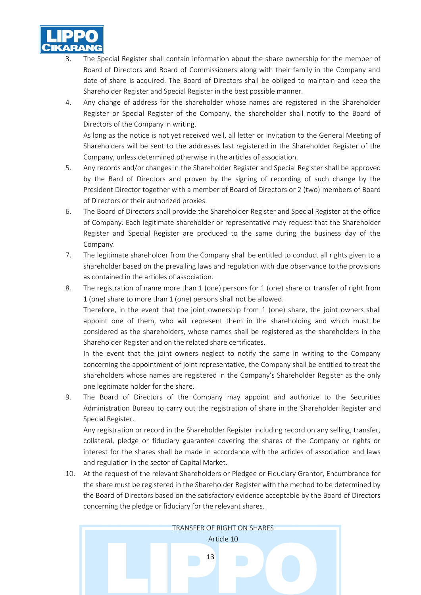

- The Special Register shall contain information about the share ownership for the member of Board of Directors and Board of Commissioners along with their family in the Company and date of share is acquired. The Board of Directors shall be obliged to maintain and keep the Shareholder Register and Special Register in the best possible manner.
- 4. Any change of address for the shareholder whose names are registered in the Shareholder Register or Special Register of the Company, the shareholder shall notify to the Board of Directors of the Company in writing.

As long as the notice is not yet received well, all letter or Invitation to the General Meeting of Shareholders will be sent to the addresses last registered in the Shareholder Register of the Company, unless determined otherwise in the articles of association.

- 5. Any records and/or changes in the Shareholder Register and Special Register shall be approved by the Bard of Directors and proven by the signing of recording of such change by the President Director together with a member of Board of Directors or 2 (two) members of Board of Directors or their authorized proxies.
- 6. The Board of Directors shall provide the Shareholder Register and Special Register at the office of Company. Each legitimate shareholder or representative may request that the Shareholder Register and Special Register are produced to the same during the business day of the Company.
- 7. The legitimate shareholder from the Company shall be entitled to conduct all rights given to a shareholder based on the prevailing laws and regulation with due observance to the provisions as contained in the articles of association.
- 8. The registration of name more than 1 (one) persons for 1 (one) share or transfer of right from 1 (one) share to more than 1 (one) persons shall not be allowed.

Therefore, in the event that the joint ownership from 1 (one) share, the joint owners shall appoint one of them, who will represent them in the shareholding and which must be considered as the shareholders, whose names shall be registered as the shareholders in the Shareholder Register and on the related share certificates.

In the event that the joint owners neglect to notify the same in writing to the Company concerning the appointment of joint representative, the Company shall be entitled to treat the shareholders whose names are registered in the Company's Shareholder Register as the only one legitimate holder for the share.

9. The Board of Directors of the Company may appoint and authorize to the Securities Administration Bureau to carry out the registration of share in the Shareholder Register and Special Register.

Any registration or record in the Shareholder Register including record on any selling, transfer, collateral, pledge or fiduciary guarantee covering the shares of the Company or rights or interest for the shares shall be made in accordance with the articles of association and laws and regulation in the sector of Capital Market.

10. At the request of the relevant Shareholders or Pledgee or Fiduciary Grantor, Encumbrance for the share must be registered in the Shareholder Register with the method to be determined by the Board of Directors based on the satisfactory evidence acceptable by the Board of Directors concerning the pledge or fiduciary for the relevant shares.

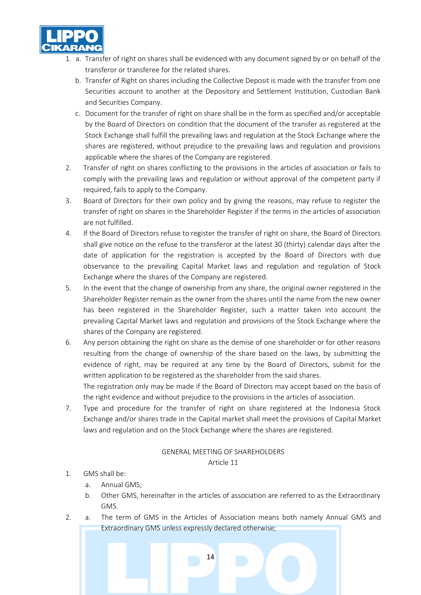

- 1. a. Transfer of right on shares shall be evidenced with any document signed by or on behalf of the transferor or transferee for the related shares.
	- b. Transfer of Right on shares including the Collective Deposit is made with the transfer from one Securities account to another at the Depository and Settlement Institution, Custodian Bank and Securities Company.
	- c. Document for the transfer of right on share shall be in the form as specified and/or acceptable by the Board of Directors on condition that the document of the transfer as registered at the Stock Exchange shall fulfill the prevailing laws and regulation at the Stock Exchange where the shares are registered, without prejudice to the prevailing laws and regulation and provisions applicable where the shares of the Company are registered.
- 2. Transfer of right on shares conflicting to the provisions in the articles of association or fails to comply with the prevailing laws and regulation or without approval of the competent party if required, fails to apply to the Company.
- 3. Board of Directors for their own policy and by giving the reasons, may refuse to register the transfer of right on shares in the Shareholder Register if the terms in the articles of association are not fulfilled.
- 4. If the Board of Directors refuse to register the transfer of right on share, the Board of Directors shall give notice on the refuse to the transferor at the latest 30 (thirty) calendar days after the date of application for the registration is accepted by the Board of Directors with due observance to the prevailing Capital Market laws and regulation and regulation of Stock Exchange where the shares of the Company are registered.
- 5. In the event that the change of ownership from any share, the original owner registered in the Shareholder Register remain as the owner from the shares until the name from the new owner has been registered in the Shareholder Register, such a matter taken into account the prevailing Capital Market laws and regulation and provisions of the Stock Exchange where the shares of the Company are registered.
- 6. Any person obtaining the right on share as the demise of one shareholder or for other reasons resulting from the change of ownership of the share based on the laws, by submitting the evidence of right, may be required at any time by the Board of Directors, submit for the written application to be registered as the shareholder from the said shares. The registration only may be made if the Board of Directors may accept based on the basis of the right evidence and without prejudice to the provisions in the articles of association.
- 7. Type and procedure for the transfer of right on share registered at the Indonesia Stock Exchange and/or shares trade in the Capital market shall meet the provisions of Capital Market laws and regulation and on the Stock Exchange where the shares are registered.

#### GENERAL MEETING OF SHAREHOLDERS Article 11

## 1. GMS shall be:

- a. Annual GMS;
- b. Other GMS, hereinafter in the articles of association are referred to as the Extraordinary GMS.
- 2. a. The term of GMS in the Articles of Association means both namely Annual GMS and Extraordinary GMS unless expressly declared otherwise;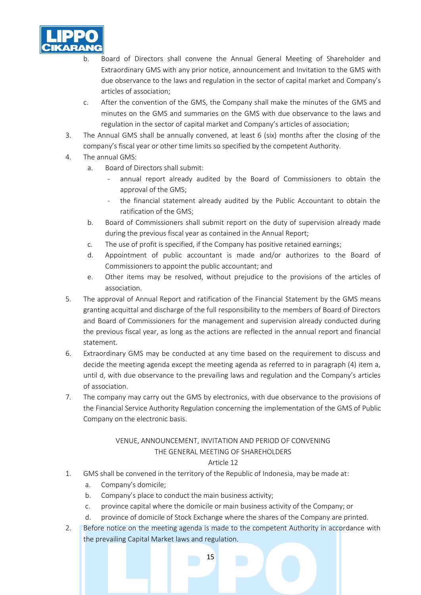

- b. Board of Directors shall convene the Annual General Meeting of Shareholder and Extraordinary GMS with any prior notice, announcement and Invitation to the GMS with due observance to the laws and regulation in the sector of capital market and Company's articles of association;
- c. After the convention of the GMS, the Company shall make the minutes of the GMS and minutes on the GMS and summaries on the GMS with due observance to the laws and regulation in the sector of capital market and Company's articles of association;
- 3. The Annual GMS shall be annually convened, at least 6 (six) months after the closing of the company's fiscal year or other time limits so specified by the competent Authority.
- 4. The annual GMS:
	- a. Board of Directors shall submit:
		- annual report already audited by the Board of Commissioners to obtain the approval of the GMS;
		- the financial statement already audited by the Public Accountant to obtain the ratification of the GMS;
	- b. Board of Commissioners shall submit report on the duty of supervision already made during the previous fiscal year as contained in the Annual Report;
	- c. The use of profit is specified, if the Company has positive retained earnings;
	- d. Appointment of public accountant is made and/or authorizes to the Board of Commissioners to appoint the public accountant; and
	- e. Other items may be resolved, without prejudice to the provisions of the articles of association.
- 5. The approval of Annual Report and ratification of the Financial Statement by the GMS means granting acquittal and discharge of the full responsibility to the members of Board of Directors and Board of Commissioners for the management and supervision already conducted during the previous fiscal year, as long as the actions are reflected in the annual report and financial statement.
- 6. Extraordinary GMS may be conducted at any time based on the requirement to discuss and decide the meeting agenda except the meeting agenda as referred to in paragraph (4) item a, until d, with due observance to the prevailing laws and regulation and the Company's articles of association.
- 7. The company may carry out the GMS by electronics, with due observance to the provisions of the Financial Service Authority Regulation concerning the implementation of the GMS of Public Company on the electronic basis.

# VENUE, ANNOUNCEMENT, INVITATION AND PERIOD OF CONVENING THE GENERAL MEETING OF SHAREHOLDERS

## Article 12

- 1. GMS shall be convened in the territory of the Republic of Indonesia, may be made at:
	- a. Company's domicile;
	- b. Company's place to conduct the main business activity;
	- c. province capital where the domicile or main business activity of the Company; or
	- d. province of domicile of Stock Exchange where the shares of the Company are printed.
- 2. Before notice on the meeting agenda is made to the competent Authority in accordance with the prevailing Capital Market laws and regulation.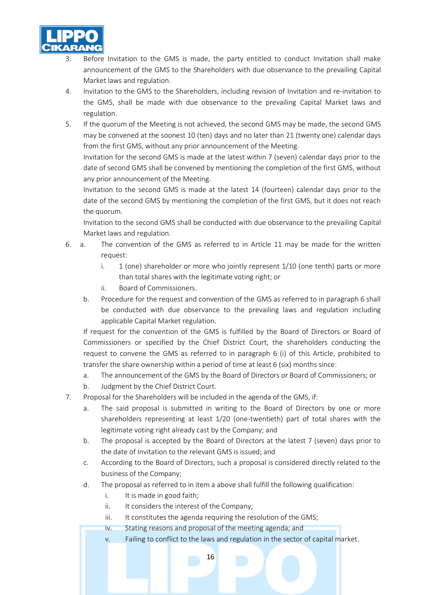

- Before Invitation to the GMS is made, the party entitled to conduct Invitation shall make announcement of the GMS to the Shareholders with due observance to the prevailing Capital Market laws and regulation.
- 4. Invitation to the GMS to the Shareholders, including revision of Invitation and re-invitation to the GMS, shall be made with due observance to the prevailing Capital Market laws and regulation.
- 5. If the quorum of the Meeting is not achieved, the second GMS may be made, the second GMS may be convened at the soonest 10 (ten) days and no later than 21 (twenty one) calendar days from the first GMS, without any prior announcement of the Meeting.

Invitation for the second GMS is made at the latest within 7 (seven) calendar days prior to the date of second GMS shall be convened by mentioning the completion of the first GMS, without any prior announcement of the Meeting.

Invitation to the second GMS is made at the latest 14 (fourteen) calendar days prior to the date of the second GMS by mentioning the completion of the first GMS, but it does not reach the quorum.

Invitation to the second GMS shall be conducted with due observance to the prevailing Capital Market laws and regulation.

- 6. a. The convention of the GMS as referred to in Article 11 may be made for the written request:
	- i. 1 (one) shareholder or more who jointly represent 1/10 (one tenth) parts or more than total shares with the legitimate voting right; or
	- ii. Board of Commissioners.
	- b. Procedure for the request and convention of the GMS as referred to in paragraph 6 shall be conducted with due observance to the prevailing laws and regulation including applicable Capital Market regulation.

If request for the convention of the GMS is fulfilled by the Board of Directors or Board of Commissioners or specified by the Chief District Court, the shareholders conducting the request to convene the GMS as referred to in paragraph 6 (i) of this Article, prohibited to transfer the share ownership within a period of time at least 6 (six) months since:

- a. The announcement of the GMS by the Board of Directors or Board of Commissioners; or
- b. Judgment by the Chief District Court.
- 7. Proposal for the Shareholders will be included in the agenda of the GMS, if:
	- a. The said proposal is submitted in writing to the Board of Directors by one or more shareholders representing at least 1/20 (one-twentieth) part of total shares with the legitimate voting right already cast by the Company; and
	- b. The proposal is accepted by the Board of Directors at the latest 7 (seven) days prior to the date of Invitation to the relevant GMS is issued; and
	- c. According to the Board of Directors, such a proposal is considered directly related to the business of the Company;
	- d. The proposal as referred to in item a above shall fulfill the following qualification:
		- i. It is made in good faith;
		- ii. It considers the interest of the Company;
		- iii. It constitutes the agenda requiring the resolution of the GMS;
		- iv. Stating reasons and proposal of the meeting agenda; and
		- v. Failing to conflict to the laws and regulation in the sector of capital market.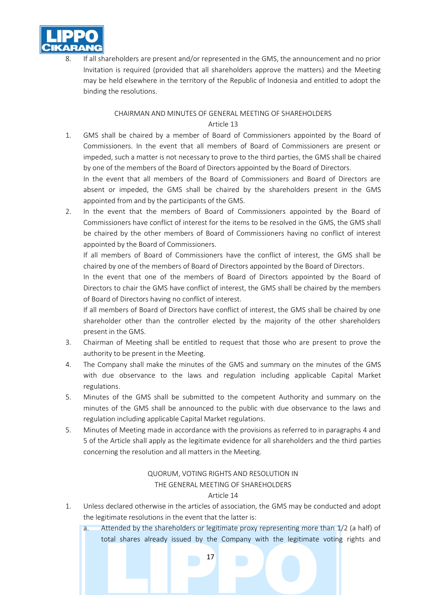

If all shareholders are present and/or represented in the GMS, the announcement and no prior Invitation is required (provided that all shareholders approve the matters) and the Meeting may be held elsewhere in the territory of the Republic of Indonesia and entitled to adopt the binding the resolutions.

## CHAIRMAN AND MINUTES OF GENERAL MEETING OF SHAREHOLDERS Article 13

1. GMS shall be chaired by a member of Board of Commissioners appointed by the Board of Commissioners. In the event that all members of Board of Commissioners are present or impeded, such a matter is not necessary to prove to the third parties, the GMS shall be chaired by one of the members of the Board of Directors appointed by the Board of Directors.

In the event that all members of the Board of Commissioners and Board of Directors are absent or impeded, the GMS shall be chaired by the shareholders present in the GMS appointed from and by the participants of the GMS.

2. In the event that the members of Board of Commissioners appointed by the Board of Commissioners have conflict of interest for the items to be resolved in the GMS, the GMS shall be chaired by the other members of Board of Commissioners having no conflict of interest appointed by the Board of Commissioners.

If all members of Board of Commissioners have the conflict of interest, the GMS shall be chaired by one of the members of Board of Directors appointed by the Board of Directors.

In the event that one of the members of Board of Directors appointed by the Board of Directors to chair the GMS have conflict of interest, the GMS shall be chaired by the members of Board of Directors having no conflict of interest.

If all members of Board of Directors have conflict of interest, the GMS shall be chaired by one shareholder other than the controller elected by the majority of the other shareholders present in the GMS.

- 3. Chairman of Meeting shall be entitled to request that those who are present to prove the authority to be present in the Meeting.
- 4. The Company shall make the minutes of the GMS and summary on the minutes of the GMS with due observance to the laws and regulation including applicable Capital Market regulations.
- 5. Minutes of the GMS shall be submitted to the competent Authority and summary on the minutes of the GMS shall be announced to the public with due observance to the laws and regulation including applicable Capital Market regulations.
- 5. Minutes of Meeting made in accordance with the provisions as referred to in paragraphs 4 and 5 of the Article shall apply as the legitimate evidence for all shareholders and the third parties concerning the resolution and all matters in the Meeting.

## QUORUM, VOTING RIGHTS AND RESOLUTION IN THE GENERAL MEETING OF SHAREHOLDERS

- 1. Unless declared otherwise in the articles of association, the GMS may be conducted and adopt the legitimate resolutions in the event that the latter is:
	- a. Attended by the shareholders or legitimate proxy representing more than 1/2 (a half) of total shares already issued by the Company with the legitimate voting rights and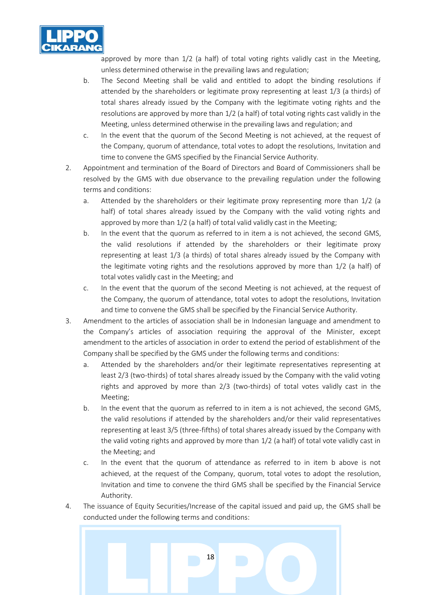

approved by more than 1/2 (a half) of total voting rights validly cast in the Meeting, unless determined otherwise in the prevailing laws and regulation;

- b. The Second Meeting shall be valid and entitled to adopt the binding resolutions if attended by the shareholders or legitimate proxy representing at least 1/3 (a thirds) of total shares already issued by the Company with the legitimate voting rights and the resolutions are approved by more than 1/2 (a half) of total voting rights cast validly in the Meeting, unless determined otherwise in the prevailing laws and regulation; and
- c. In the event that the quorum of the Second Meeting is not achieved, at the request of the Company, quorum of attendance, total votes to adopt the resolutions, Invitation and time to convene the GMS specified by the Financial Service Authority.
- 2. Appointment and termination of the Board of Directors and Board of Commissioners shall be resolved by the GMS with due observance to the prevailing regulation under the following terms and conditions:
	- a. Attended by the shareholders or their legitimate proxy representing more than 1/2 (a half) of total shares already issued by the Company with the valid voting rights and approved by more than 1/2 (a half) of total valid validly cast in the Meeting;
	- b. In the event that the quorum as referred to in item a is not achieved, the second GMS, the valid resolutions if attended by the shareholders or their legitimate proxy representing at least 1/3 (a thirds) of total shares already issued by the Company with the legitimate voting rights and the resolutions approved by more than 1/2 (a half) of total votes validly cast in the Meeting; and
	- c. In the event that the quorum of the second Meeting is not achieved, at the request of the Company, the quorum of attendance, total votes to adopt the resolutions, Invitation and time to convene the GMS shall be specified by the Financial Service Authority.
- 3. Amendment to the articles of association shall be in Indonesian language and amendment to the Company's articles of association requiring the approval of the Minister, except amendment to the articles of association in order to extend the period of establishment of the Company shall be specified by the GMS under the following terms and conditions:
	- a. Attended by the shareholders and/or their legitimate representatives representing at least 2/3 (two-thirds) of total shares already issued by the Company with the valid voting rights and approved by more than 2/3 (two-thirds) of total votes validly cast in the Meeting;
	- b. In the event that the quorum as referred to in item a is not achieved, the second GMS, the valid resolutions if attended by the shareholders and/or their valid representatives representing at least 3/5 (three-fifths) of total shares already issued by the Company with the valid voting rights and approved by more than 1/2 (a half) of total vote validly cast in the Meeting; and
	- c. In the event that the quorum of attendance as referred to in item b above is not achieved, at the request of the Company, quorum, total votes to adopt the resolution, Invitation and time to convene the third GMS shall be specified by the Financial Service Authority.
- 4. The issuance of Equity Securities/Increase of the capital issued and paid up, the GMS shall be conducted under the following terms and conditions:

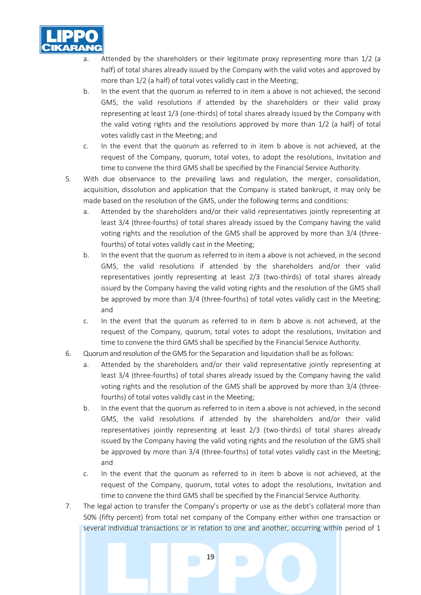

- Attended by the shareholders or their legitimate proxy representing more than  $1/2$  (a half) of total shares already issued by the Company with the valid votes and approved by more than 1/2 (a half) of total votes validly cast in the Meeting;
- b. In the event that the quorum as referred to in item a above is not achieved, the second GMS, the valid resolutions if attended by the shareholders or their valid proxy representing at least 1/3 (one-thirds) of total shares already issued by the Company with the valid voting rights and the resolutions approved by more than 1/2 (a half) of total votes validly cast in the Meeting; and
- c. In the event that the quorum as referred to in item b above is not achieved, at the request of the Company, quorum, total votes, to adopt the resolutions, Invitation and time to convene the third GMS shall be specified by the Financial Service Authority.
- 5. With due observance to the prevailing laws and regulation, the merger, consolidation, acquisition, dissolution and application that the Company is stated bankrupt, it may only be made based on the resolution of the GMS, under the following terms and conditions:
	- a. Attended by the shareholders and/or their valid representatives jointly representing at least 3/4 (three-fourths) of total shares already issued by the Company having the valid voting rights and the resolution of the GMS shall be approved by more than 3/4 (threefourths) of total votes validly cast in the Meeting;
	- b. In the event that the quorum as referred to in item a above is not achieved, in the second GMS, the valid resolutions if attended by the shareholders and/or their valid representatives jointly representing at least 2/3 (two-thirds) of total shares already issued by the Company having the valid voting rights and the resolution of the GMS shall be approved by more than 3/4 (three-fourths) of total votes validly cast in the Meeting; and
	- c. In the event that the quorum as referred to in item b above is not achieved, at the request of the Company, quorum, total votes to adopt the resolutions, Invitation and time to convene the third GMS shall be specified by the Financial Service Authority.
- 6. Quorum and resolution of the GMS for the Separation and liquidation shall be as follows:
	- a. Attended by the shareholders and/or their valid representative jointly representing at least 3/4 (three-fourths) of total shares already issued by the Company having the valid voting rights and the resolution of the GMS shall be approved by more than 3/4 (threefourths) of total votes validly cast in the Meeting;
	- b. In the event that the quorum as referred to in item a above is not achieved, in the second GMS, the valid resolutions if attended by the shareholders and/or their valid representatives jointly representing at least 2/3 (two-thirds) of total shares already issued by the Company having the valid voting rights and the resolution of the GMS shall be approved by more than 3/4 (three-fourths) of total votes validly cast in the Meeting; and
	- c. In the event that the quorum as referred to in item b above is not achieved, at the request of the Company, quorum, total votes to adopt the resolutions, Invitation and time to convene the third GMS shall be specified by the Financial Service Authority.
- 7. The legal action to transfer the Company's property or use as the debt's collateral more than 50% (fifty percent) from total net company of the Company either within one transaction or several individual transactions or in relation to one and another, occurring within period of 1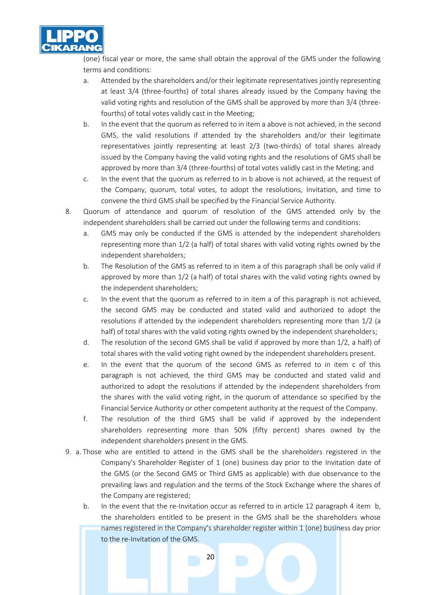

(one) fiscal year or more, the same shall obtain the approval of the GMS under the following terms and conditions:

- a. Attended by the shareholders and/or their legitimate representatives jointly representing at least 3/4 (three-fourths) of total shares already issued by the Company having the valid voting rights and resolution of the GMS shall be approved by more than 3/4 (threefourths) of total votes validly cast in the Meeting;
- b. In the event that the quorum as referred to in item a above is not achieved, in the second GMS, the valid resolutions if attended by the shareholders and/or their legitimate representatives jointly representing at least 2/3 (two-thirds) of total shares already issued by the Company having the valid voting rights and the resolutions of GMS shall be approved by more than 3/4 (three-fourths) of total votes validly cast in the Meting; and
- c. In the event that the quorum as referred to in b above is not achieved, at the request of the Company, quorum, total votes, to adopt the resolutions, Invitation, and time to convene the third GMS shall be specified by the Financial Service Authority.
- 8. Quorum of attendance and quorum of resolution of the GMS attended only by the independent shareholders shall be carried out under the following terms and conditions:
	- a. GMS may only be conducted if the GMS is attended by the independent shareholders representing more than 1/2 (a half) of total shares with valid voting rights owned by the independent shareholders;
	- b. The Resolution of the GMS as referred to in item a of this paragraph shall be only valid if approved by more than 1/2 (a half) of total shares with the valid voting rights owned by the independent shareholders;
	- c. In the event that the quorum as referred to in item a of this paragraph is not achieved, the second GMS may be conducted and stated valid and authorized to adopt the resolutions if attended by the independent shareholders representing more than 1/2 (a half) of total shares with the valid voting rights owned by the independent shareholders;
	- d. The resolution of the second GMS shall be valid if approved by more than 1/2, a half) of total shares with the valid voting right owned by the independent shareholders present.
	- e. In the event that the quorum of the second GMS as referred to in item c of this paragraph is not achieved, the third GMS may be conducted and stated valid and authorized to adopt the resolutions if attended by the independent shareholders from the shares with the valid voting right, in the quorum of attendance so specified by the Financial Service Authority or other competent authority at the request of the Company.
	- f. The resolution of the third GMS shall be valid if approved by the independent shareholders representing more than 50% (fifty percent) shares owned by the independent shareholders present in the GMS.
- 9. a. Those who are entitled to attend in the GMS shall be the shareholders registered in the Company's Shareholder Register of 1 (one) business day prior to the Invitation date of the GMS (or the Second GMS or Third GMS as applicable) with due observance to the prevailing laws and regulation and the terms of the Stock Exchange where the shares of the Company are registered;
	- b. In the event that the re-Invitation occur as referred to in article 12 paragraph 4 item b, the shareholders entitled to be present in the GMS shall be the shareholders whose names registered in the Company's shareholder register within 1 (one) business day prior to the re-Invitation of the GMS.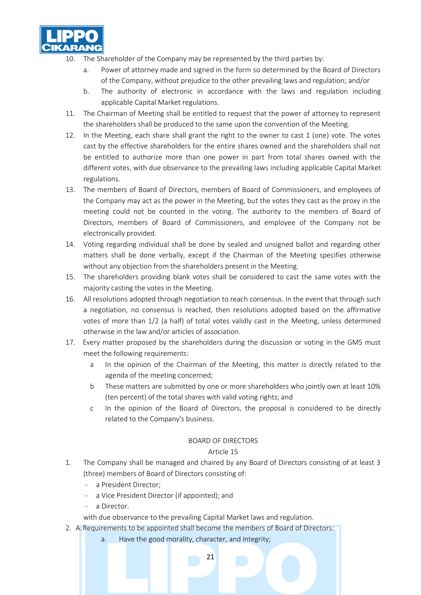

- 10. The Shareholder of the Company may be represented by the third parties by:
	- a. Power of attorney made and signed in the form so determined by the Board of Directors of the Company, without prejudice to the other prevailing laws and regulation; and/or
	- b. The authority of electronic in accordance with the laws and regulation including applicable Capital Market regulations.
- 11. The Chairman of Meeting shall be entitled to request that the power of attorney to represent the shareholders shall be produced to the same upon the convention of the Meeting.
- 12. In the Meeting, each share shall grant the right to the owner to cast 1 (one) vote. The votes cast by the effective shareholders for the entire shares owned and the shareholders shall not be entitled to authorize more than one power in part from total shares owned with the different votes, with due observance to the prevailing laws including applicable Capital Market regulations.
- 13. The members of Board of Directors, members of Board of Commissioners, and employees of the Company may act as the power in the Meeting, but the votes they cast as the proxy in the meeting could not be counted in the voting. The authority to the members of Board of Directors, members of Board of Commissioners, and employee of the Company not be electronically provided.
- 14. Voting regarding individual shall be done by sealed and unsigned ballot and regarding other matters shall be done verbally, except if the Chairman of the Meeting specifies otherwise without any objection from the shareholders present in the Meeting.
- 15. The shareholders providing blank votes shall be considered to cast the same votes with the majority casting the votes in the Meeting.
- 16. All resolutions adopted through negotiation to reach consensus. In the event that through such a negotiation, no consensus is reached, then resolutions adopted based on the affirmative votes of more than 1/2 (a half) of total votes validly cast in the Meeting, unless determined otherwise in the law and/or articles of association.
- 17. Every matter proposed by the shareholders during the discussion or voting in the GMS must meet the following requirements:
	- a In the opinion of the Chairman of the Meeting, this matter is directly related to the agenda of the meeting concerned;
	- b These matters are submitted by one or more shareholders who jointly own at least 10% (ten percent) of the total shares with valid voting rights; and
	- c In the opinion of the Board of Directors, the proposal is considered to be directly related to the Company's business.

#### BOARD OF DIRECTORS

#### Article 15

- 1. The Company shall be managed and chaired by any Board of Directors consisting of at least 3 (three) members of Board of Directors consisting of:
	- a President Director;
	- a Vice President Director (if appointed); and
	- a Director.

with due observance to the prevailing Capital Market laws and regulation.

- 2. A.Requirements to be appointed shall become the members of Board of Directors:
	- a. Have the good morality, character, and integrity;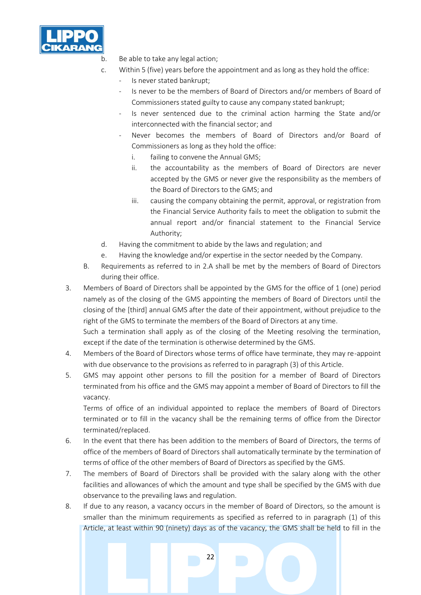

b. Be able to take any legal action;

- c. Within 5 (five) years before the appointment and as long as they hold the office:
	- Is never stated bankrupt;
	- Is never to be the members of Board of Directors and/or members of Board of Commissioners stated guilty to cause any company stated bankrupt;
	- Is never sentenced due to the criminal action harming the State and/or interconnected with the financial sector; and
	- Never becomes the members of Board of Directors and/or Board of Commissioners as long as they hold the office:
		- i. failing to convene the Annual GMS;
		- ii. the accountability as the members of Board of Directors are never accepted by the GMS or never give the responsibility as the members of the Board of Directors to the GMS; and
		- iii. causing the company obtaining the permit, approval, or registration from the Financial Service Authority fails to meet the obligation to submit the annual report and/or financial statement to the Financial Service Authority;
- d. Having the commitment to abide by the laws and regulation; and
- e. Having the knowledge and/or expertise in the sector needed by the Company.
- B. Requirements as referred to in 2.A shall be met by the members of Board of Directors during their office.
- 3. Members of Board of Directors shall be appointed by the GMS for the office of 1 (one) period namely as of the closing of the GMS appointing the members of Board of Directors until the closing of the [third] annual GMS after the date of their appointment, without prejudice to the right of the GMS to terminate the members of the Board of Directors at any time.

Such a termination shall apply as of the closing of the Meeting resolving the termination, except if the date of the termination is otherwise determined by the GMS.

- 4. Members of the Board of Directors whose terms of office have terminate, they may re-appoint with due observance to the provisions as referred to in paragraph (3) of this Article.
- 5. GMS may appoint other persons to fill the position for a member of Board of Directors terminated from his office and the GMS may appoint a member of Board of Directors to fill the vacancy.

Terms of office of an individual appointed to replace the members of Board of Directors terminated or to fill in the vacancy shall be the remaining terms of office from the Director terminated/replaced.

- 6. In the event that there has been addition to the members of Board of Directors, the terms of office of the members of Board of Directors shall automatically terminate by the termination of terms of office of the other members of Board of Directors as specified by the GMS.
- 7. The members of Board of Directors shall be provided with the salary along with the other facilities and allowances of which the amount and type shall be specified by the GMS with due observance to the prevailing laws and regulation.
- 8. If due to any reason, a vacancy occurs in the member of Board of Directors, so the amount is smaller than the minimum requirements as specified as referred to in paragraph (1) of this Article, at least within 90 (ninety) days as of the vacancy, the GMS shall be held to fill in the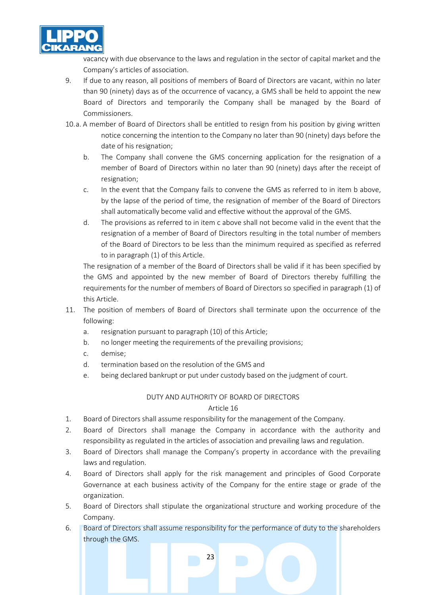

vacancy with due observance to the laws and regulation in the sector of capital market and the Company's articles of association.

- 9. If due to any reason, all positions of members of Board of Directors are vacant, within no later than 90 (ninety) days as of the occurrence of vacancy, a GMS shall be held to appoint the new Board of Directors and temporarily the Company shall be managed by the Board of Commissioners.
- 10.a. A member of Board of Directors shall be entitled to resign from his position by giving written notice concerning the intention to the Company no later than 90 (ninety) days before the date of his resignation;
	- b. The Company shall convene the GMS concerning application for the resignation of a member of Board of Directors within no later than 90 (ninety) days after the receipt of resignation;
	- c. In the event that the Company fails to convene the GMS as referred to in item b above, by the lapse of the period of time, the resignation of member of the Board of Directors shall automatically become valid and effective without the approval of the GMS.
	- d. The provisions as referred to in item c above shall not become valid in the event that the resignation of a member of Board of Directors resulting in the total number of members of the Board of Directors to be less than the minimum required as specified as referred to in paragraph (1) of this Article.

The resignation of a member of the Board of Directors shall be valid if it has been specified by the GMS and appointed by the new member of Board of Directors thereby fulfilling the requirements for the number of members of Board of Directors so specified in paragraph (1) of this Article.

- 11. The position of members of Board of Directors shall terminate upon the occurrence of the following:
	- a. resignation pursuant to paragraph (10) of this Article;
	- b. no longer meeting the requirements of the prevailing provisions;
	- c. demise;
	- d. termination based on the resolution of the GMS and
	- e. being declared bankrupt or put under custody based on the judgment of court.

## DUTY AND AUTHORITY OF BOARD OF DIRECTORS

- 1. Board of Directors shall assume responsibility for the management of the Company.
- 2. Board of Directors shall manage the Company in accordance with the authority and responsibility as regulated in the articles of association and prevailing laws and regulation.
- 3. Board of Directors shall manage the Company's property in accordance with the prevailing laws and regulation.
- 4. Board of Directors shall apply for the risk management and principles of Good Corporate Governance at each business activity of the Company for the entire stage or grade of the organization.
- 5. Board of Directors shall stipulate the organizational structure and working procedure of the Company.
- 6. Board of Directors shall assume responsibility for the performance of duty to the shareholders through the GMS.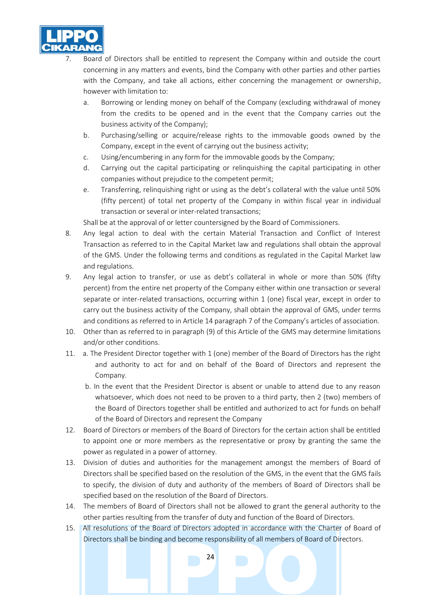

- Board of Directors shall be entitled to represent the Company within and outside the court concerning in any matters and events, bind the Company with other parties and other parties with the Company, and take all actions, either concerning the management or ownership, however with limitation to:
	- a. Borrowing or lending money on behalf of the Company (excluding withdrawal of money from the credits to be opened and in the event that the Company carries out the business activity of the Company);
	- b. Purchasing/selling or acquire/release rights to the immovable goods owned by the Company, except in the event of carrying out the business activity;
	- c. Using/encumbering in any form for the immovable goods by the Company;
	- d. Carrying out the capital participating or relinquishing the capital participating in other companies without prejudice to the competent permit;
	- e. Transferring, relinquishing right or using as the debt's collateral with the value until 50% (fifty percent) of total net property of the Company in within fiscal year in individual transaction or several or inter-related transactions;

Shall be at the approval of or letter countersigned by the Board of Commissioners.

- 8. Any legal action to deal with the certain Material Transaction and Conflict of Interest Transaction as referred to in the Capital Market law and regulations shall obtain the approval of the GMS. Under the following terms and conditions as regulated in the Capital Market law and regulations.
- 9. Any legal action to transfer, or use as debt's collateral in whole or more than 50% (fifty percent) from the entire net property of the Company either within one transaction or several separate or inter-related transactions, occurring within 1 (one) fiscal year, except in order to carry out the business activity of the Company, shall obtain the approval of GMS, under terms and conditions as referred to in Article 14 paragraph 7 of the Company's articles of association.
- 10. Other than as referred to in paragraph (9) of this Article of the GMS may determine limitations and/or other conditions.
- 11. a. The President Director together with 1 (one) member of the Board of Directors has the right and authority to act for and on behalf of the Board of Directors and represent the Company.
	- b. In the event that the President Director is absent or unable to attend due to any reason whatsoever, which does not need to be proven to a third party, then 2 (two) members of the Board of Directors together shall be entitled and authorized to act for funds on behalf of the Board of Directors and represent the Company
- 12. Board of Directors or members of the Board of Directors for the certain action shall be entitled to appoint one or more members as the representative or proxy by granting the same the power as regulated in a power of attorney.
- 13. Division of duties and authorities for the management amongst the members of Board of Directors shall be specified based on the resolution of the GMS, in the event that the GMS fails to specify, the division of duty and authority of the members of Board of Directors shall be specified based on the resolution of the Board of Directors.
- 14. The members of Board of Directors shall not be allowed to grant the general authority to the other parties resulting from the transfer of duty and function of the Board of Directors.
- 15. All resolutions of the Board of Directors adopted in accordance with the Charter of Board of Directors shall be binding and become responsibility of all members of Board of Directors.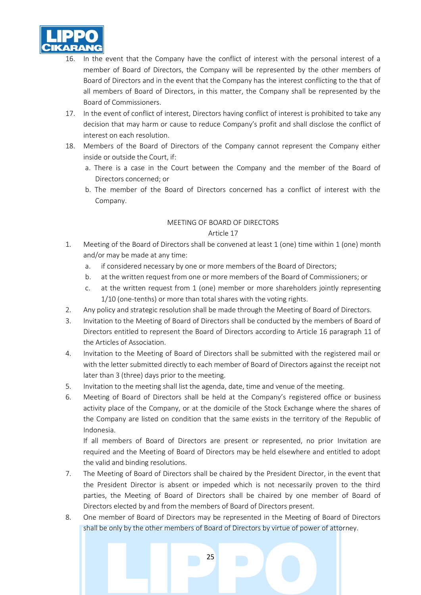

- 16. In the event that the Company have the conflict of interest with the personal interest of a member of Board of Directors, the Company will be represented by the other members of Board of Directors and in the event that the Company has the interest conflicting to the that of all members of Board of Directors, in this matter, the Company shall be represented by the Board of Commissioners.
- 17. In the event of conflict of interest, Directors having conflict of interest is prohibited to take any decision that may harm or cause to reduce Company's profit and shall disclose the conflict of interest on each resolution.
- 18. Members of the Board of Directors of the Company cannot represent the Company either inside or outside the Court, if:
	- a. There is a case in the Court between the Company and the member of the Board of Directors concerned; or
	- b. The member of the Board of Directors concerned has a conflict of interest with the Company.

## MEETING OF BOARD OF DIRECTORS

#### Article 17

- 1. Meeting of the Board of Directors shall be convened at least 1 (one) time within 1 (one) month and/or may be made at any time:
	- a. if considered necessary by one or more members of the Board of Directors;
	- b. at the written request from one or more members of the Board of Commissioners; or
	- c. at the written request from 1 (one) member or more shareholders jointly representing 1/10 (one-tenths) or more than total shares with the voting rights.
- 2. Any policy and strategic resolution shall be made through the Meeting of Board of Directors.
- 3. Invitation to the Meeting of Board of Directors shall be conducted by the members of Board of Directors entitled to represent the Board of Directors according to Article 16 paragraph 11 of the Articles of Association.
- 4. Invitation to the Meeting of Board of Directors shall be submitted with the registered mail or with the letter submitted directly to each member of Board of Directors against the receipt not later than 3 (three) days prior to the meeting.
- 5. Invitation to the meeting shall list the agenda, date, time and venue of the meeting.
- 6. Meeting of Board of Directors shall be held at the Company's registered office or business activity place of the Company, or at the domicile of the Stock Exchange where the shares of the Company are listed on condition that the same exists in the territory of the Republic of Indonesia.

If all members of Board of Directors are present or represented, no prior Invitation are required and the Meeting of Board of Directors may be held elsewhere and entitled to adopt the valid and binding resolutions.

- 7. The Meeting of Board of Directors shall be chaired by the President Director, in the event that the President Director is absent or impeded which is not necessarily proven to the third parties, the Meeting of Board of Directors shall be chaired by one member of Board of Directors elected by and from the members of Board of Directors present.
- 8. One member of Board of Directors may be represented in the Meeting of Board of Directors shall be only by the other members of Board of Directors by virtue of power of attorney.

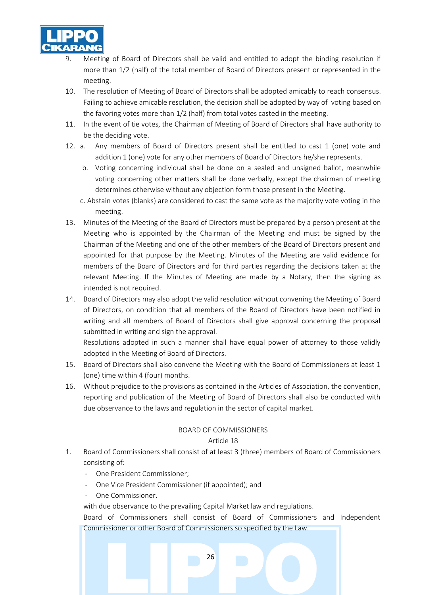

- 9. Meeting of Board of Directors shall be valid and entitled to adopt the binding resolution if more than 1/2 (half) of the total member of Board of Directors present or represented in the meeting.
- 10. The resolution of Meeting of Board of Directors shall be adopted amicably to reach consensus. Failing to achieve amicable resolution, the decision shall be adopted by way of voting based on the favoring votes more than 1/2 (half) from total votes casted in the meeting.
- 11. In the event of tie votes, the Chairman of Meeting of Board of Directors shall have authority to be the deciding vote.
- 12. a. Any members of Board of Directors present shall be entitled to cast 1 (one) vote and addition 1 (one) vote for any other members of Board of Directors he/she represents.
	- b. Voting concerning individual shall be done on a sealed and unsigned ballot, meanwhile voting concerning other matters shall be done verbally, except the chairman of meeting determines otherwise without any objection form those present in the Meeting.
	- c. Abstain votes (blanks) are considered to cast the same vote as the majority vote voting in the meeting.
- 13. Minutes of the Meeting of the Board of Directors must be prepared by a person present at the Meeting who is appointed by the Chairman of the Meeting and must be signed by the Chairman of the Meeting and one of the other members of the Board of Directors present and appointed for that purpose by the Meeting. Minutes of the Meeting are valid evidence for members of the Board of Directors and for third parties regarding the decisions taken at the relevant Meeting. If the Minutes of Meeting are made by a Notary, then the signing as intended is not required.
- 14. Board of Directors may also adopt the valid resolution without convening the Meeting of Board of Directors, on condition that all members of the Board of Directors have been notified in writing and all members of Board of Directors shall give approval concerning the proposal submitted in writing and sign the approval.

Resolutions adopted in such a manner shall have equal power of attorney to those validly adopted in the Meeting of Board of Directors.

- 15. Board of Directors shall also convene the Meeting with the Board of Commissioners at least 1 (one) time within 4 (four) months.
- 16. Without prejudice to the provisions as contained in the Articles of Association, the convention, reporting and publication of the Meeting of Board of Directors shall also be conducted with due observance to the laws and regulation in the sector of capital market.

## BOARD OF COMMISSIONERS

#### Article 18

- 1. Board of Commissioners shall consist of at least 3 (three) members of Board of Commissioners consisting of:
	- One President Commissioner;
	- One Vice President Commissioner (if appointed); and
	- One Commissioner.
	- with due observance to the prevailing Capital Market law and regulations.

26

Board of Commissioners shall consist of Board of Commissioners and Independent Commissioner or other Board of Commissioners so specified by the Law.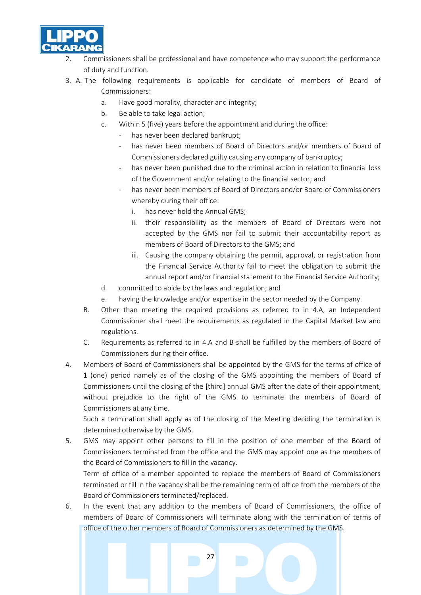

- 2. Commissioners shall be professional and have competence who may support the performance of duty and function.
- 3. A. The following requirements is applicable for candidate of members of Board of Commissioners:
	- a. Have good morality, character and integrity;
	- b. Be able to take legal action;
	- c. Within 5 (five) years before the appointment and during the office:
		- has never been declared bankrupt;
		- has never been members of Board of Directors and/or members of Board of Commissioners declared guilty causing any company of bankruptcy;
		- has never been punished due to the criminal action in relation to financial loss of the Government and/or relating to the financial sector; and
		- has never been members of Board of Directors and/or Board of Commissioners whereby during their office:
			- i. has never hold the Annual GMS;
			- ii. their responsibility as the members of Board of Directors were not accepted by the GMS nor fail to submit their accountability report as members of Board of Directors to the GMS; and
			- iii. Causing the company obtaining the permit, approval, or registration from the Financial Service Authority fail to meet the obligation to submit the annual report and/or financial statement to the Financial Service Authority;
	- d. committed to abide by the laws and regulation; and
	- e. having the knowledge and/or expertise in the sector needed by the Company.
	- B. Other than meeting the required provisions as referred to in 4.A, an Independent Commissioner shall meet the requirements as regulated in the Capital Market law and regulations.
	- C. Requirements as referred to in 4.A and B shall be fulfilled by the members of Board of Commissioners during their office.
- 4. Members of Board of Commissioners shall be appointed by the GMS for the terms of office of 1 (one) period namely as of the closing of the GMS appointing the members of Board of Commissioners until the closing of the [third] annual GMS after the date of their appointment, without prejudice to the right of the GMS to terminate the members of Board of Commissioners at any time.

Such a termination shall apply as of the closing of the Meeting deciding the termination is determined otherwise by the GMS.

5. GMS may appoint other persons to fill in the position of one member of the Board of Commissioners terminated from the office and the GMS may appoint one as the members of the Board of Commissioners to fill in the vacancy.

Term of office of a member appointed to replace the members of Board of Commissioners terminated or fill in the vacancy shall be the remaining term of office from the members of the Board of Commissioners terminated/replaced.

6. In the event that any addition to the members of Board of Commissioners, the office of members of Board of Commissioners will terminate along with the termination of terms of office of the other members of Board of Commissioners as determined by the GMS.

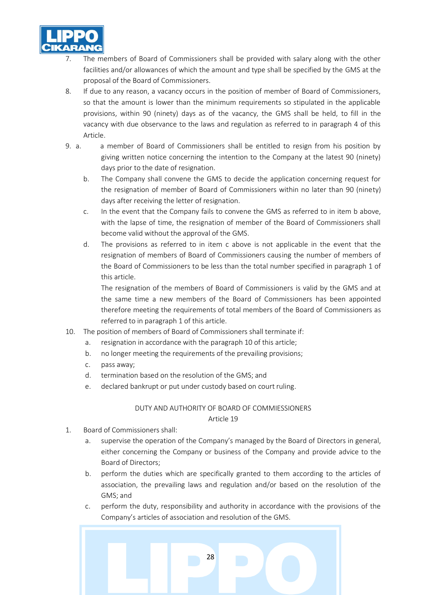

- The members of Board of Commissioners shall be provided with salary along with the other facilities and/or allowances of which the amount and type shall be specified by the GMS at the proposal of the Board of Commissioners.
- 8. If due to any reason, a vacancy occurs in the position of member of Board of Commissioners, so that the amount is lower than the minimum requirements so stipulated in the applicable provisions, within 90 (ninety) days as of the vacancy, the GMS shall be held, to fill in the vacancy with due observance to the laws and regulation as referred to in paragraph 4 of this Article.
- 9. a. a member of Board of Commissioners shall be entitled to resign from his position by giving written notice concerning the intention to the Company at the latest 90 (ninety) days prior to the date of resignation.
	- b. The Company shall convene the GMS to decide the application concerning request for the resignation of member of Board of Commissioners within no later than 90 (ninety) days after receiving the letter of resignation.
	- c. In the event that the Company fails to convene the GMS as referred to in item b above, with the lapse of time, the resignation of member of the Board of Commissioners shall become valid without the approval of the GMS.
	- d. The provisions as referred to in item c above is not applicable in the event that the resignation of members of Board of Commissioners causing the number of members of the Board of Commissioners to be less than the total number specified in paragraph 1 of this article.

The resignation of the members of Board of Commissioners is valid by the GMS and at the same time a new members of the Board of Commissioners has been appointed therefore meeting the requirements of total members of the Board of Commissioners as referred to in paragraph 1 of this article.

- 10. The position of members of Board of Commissioners shall terminate if:
	- a. resignation in accordance with the paragraph 10 of this article;
	- b. no longer meeting the requirements of the prevailing provisions;
	- c. pass away;
	- d. termination based on the resolution of the GMS; and
	- e. declared bankrupt or put under custody based on court ruling.

# DUTY AND AUTHORITY OF BOARD OF COMMIESSIONERS

- 1. Board of Commissioners shall:
	- a. supervise the operation of the Company's managed by the Board of Directors in general, either concerning the Company or business of the Company and provide advice to the Board of Directors;
	- b. perform the duties which are specifically granted to them according to the articles of association, the prevailing laws and regulation and/or based on the resolution of the GMS; and
	- c. perform the duty, responsibility and authority in accordance with the provisions of the Company's articles of association and resolution of the GMS.

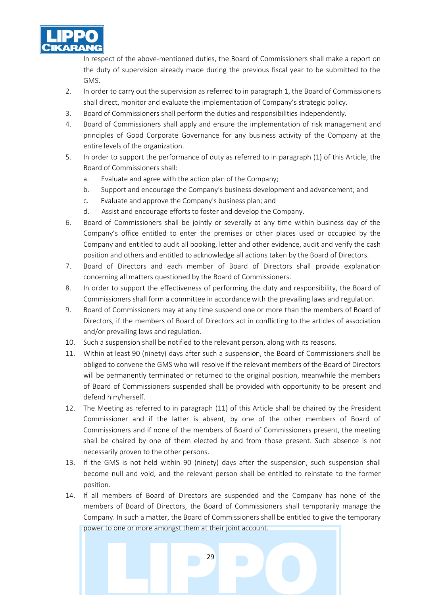

In respect of the above-mentioned duties, the Board of Commissioners shall make a report on the duty of supervision already made during the previous fiscal year to be submitted to the GMS.

- 2. In order to carry out the supervision as referred to in paragraph 1, the Board of Commissioners shall direct, monitor and evaluate the implementation of Company's strategic policy.
- 3. Board of Commissioners shall perform the duties and responsibilities independently.
- 4. Board of Commissioners shall apply and ensure the implementation of risk management and principles of Good Corporate Governance for any business activity of the Company at the entire levels of the organization.
- 5. In order to support the performance of duty as referred to in paragraph (1) of this Article, the Board of Commissioners shall:
	- a. Evaluate and agree with the action plan of the Company;
	- b. Support and encourage the Company's business development and advancement; and
	- c. Evaluate and approve the Company's business plan; and
	- d. Assist and encourage efforts to foster and develop the Company.
- 6. Board of Commissioners shall be jointly or severally at any time within business day of the Company's office entitled to enter the premises or other places used or occupied by the Company and entitled to audit all booking, letter and other evidence, audit and verify the cash position and others and entitled to acknowledge all actions taken by the Board of Directors.
- 7. Board of Directors and each member of Board of Directors shall provide explanation concerning all matters questioned by the Board of Commissioners.
- 8. In order to support the effectiveness of performing the duty and responsibility, the Board of Commissioners shall form a committee in accordance with the prevailing laws and regulation.
- 9. Board of Commissioners may at any time suspend one or more than the members of Board of Directors, if the members of Board of Directors act in conflicting to the articles of association and/or prevailing laws and regulation.
- 10. Such a suspension shall be notified to the relevant person, along with its reasons.
- 11. Within at least 90 (ninety) days after such a suspension, the Board of Commissioners shall be obliged to convene the GMS who will resolve if the relevant members of the Board of Directors will be permanently terminated or returned to the original position, meanwhile the members of Board of Commissioners suspended shall be provided with opportunity to be present and defend him/herself.
- 12. The Meeting as referred to in paragraph (11) of this Article shall be chaired by the President Commissioner and if the latter is absent, by one of the other members of Board of Commissioners and if none of the members of Board of Commissioners present, the meeting shall be chaired by one of them elected by and from those present. Such absence is not necessarily proven to the other persons.
- 13. If the GMS is not held within 90 (ninety) days after the suspension, such suspension shall become null and void, and the relevant person shall be entitled to reinstate to the former position.
- 14. If all members of Board of Directors are suspended and the Company has none of the members of Board of Directors, the Board of Commissioners shall temporarily manage the Company. In such a matter, the Board of Commissioners shall be entitled to give the temporary power to one or more amongst them at their joint account.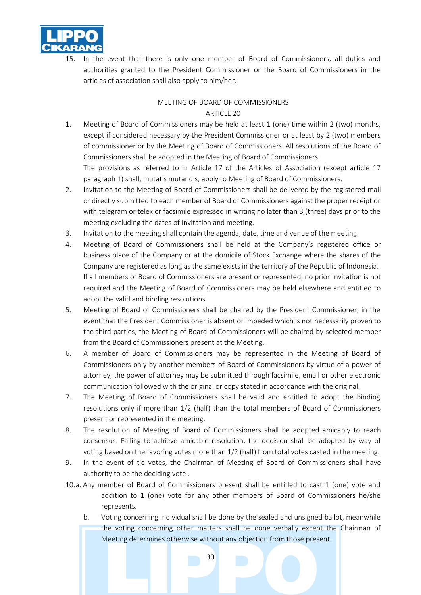

15. In the event that there is only one member of Board of Commissioners, all duties and authorities granted to the President Commissioner or the Board of Commissioners in the articles of association shall also apply to him/her.

#### MEETING OF BOARD OF COMMISSIONERS ARTICLE 20

1. Meeting of Board of Commissioners may be held at least 1 (one) time within 2 (two) months, except if considered necessary by the President Commissioner or at least by 2 (two) members of commissioner or by the Meeting of Board of Commissioners. All resolutions of the Board of Commissioners shall be adopted in the Meeting of Board of Commissioners.

The provisions as referred to in Article 17 of the Articles of Association (except article 17 paragraph 1) shall, mutatis mutandis, apply to Meeting of Board of Commissioners.

- 2. Invitation to the Meeting of Board of Commissioners shall be delivered by the registered mail or directly submitted to each member of Board of Commissioners against the proper receipt or with telegram or telex or facsimile expressed in writing no later than 3 (three) days prior to the meeting excluding the dates of Invitation and meeting.
- 3. Invitation to the meeting shall contain the agenda, date, time and venue of the meeting.
- 4. Meeting of Board of Commissioners shall be held at the Company's registered office or business place of the Company or at the domicile of Stock Exchange where the shares of the Company are registered as long as the same exists in the territory of the Republic of Indonesia. If all members of Board of Commissioners are present or represented, no prior Invitation is not required and the Meeting of Board of Commissioners may be held elsewhere and entitled to adopt the valid and binding resolutions.
- 5. Meeting of Board of Commissioners shall be chaired by the President Commissioner, in the event that the President Commissioner is absent or impeded which is not necessarily proven to the third parties, the Meeting of Board of Commissioners will be chaired by selected member from the Board of Commissioners present at the Meeting.
- 6. A member of Board of Commissioners may be represented in the Meeting of Board of Commissioners only by another members of Board of Commissioners by virtue of a power of attorney, the power of attorney may be submitted through facsimile, email or other electronic communication followed with the original or copy stated in accordance with the original.
- 7. The Meeting of Board of Commissioners shall be valid and entitled to adopt the binding resolutions only if more than 1/2 (half) than the total members of Board of Commissioners present or represented in the meeting.
- 8. The resolution of Meeting of Board of Commissioners shall be adopted amicably to reach consensus. Failing to achieve amicable resolution, the decision shall be adopted by way of voting based on the favoring votes more than 1/2 (half) from total votes casted in the meeting.
- 9. In the event of tie votes, the Chairman of Meeting of Board of Commissioners shall have authority to be the deciding vote .
- 10.a. Any member of Board of Commissioners present shall be entitled to cast 1 (one) vote and addition to 1 (one) vote for any other members of Board of Commissioners he/she represents.
	- b. Voting concerning individual shall be done by the sealed and unsigned ballot, meanwhile the voting concerning other matters shall be done verbally except the Chairman of Meeting determines otherwise without any objection from those present.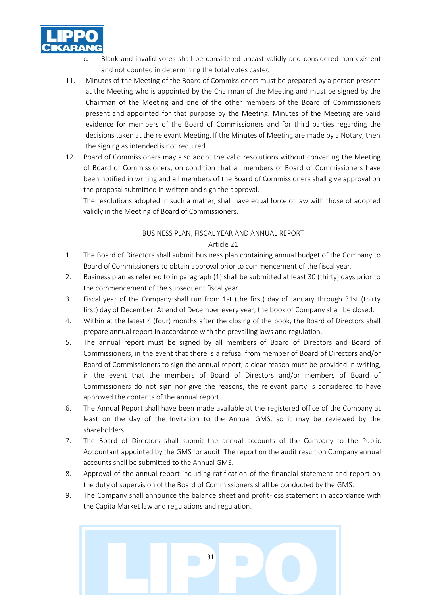

- Blank and invalid votes shall be considered uncast validly and considered non-existent and not counted in determining the total votes casted.
- 11. Minutes of the Meeting of the Board of Commissioners must be prepared by a person present at the Meeting who is appointed by the Chairman of the Meeting and must be signed by the Chairman of the Meeting and one of the other members of the Board of Commissioners present and appointed for that purpose by the Meeting. Minutes of the Meeting are valid evidence for members of the Board of Commissioners and for third parties regarding the decisions taken at the relevant Meeting. If the Minutes of Meeting are made by a Notary, then the signing as intended is not required.
- 12. Board of Commissioners may also adopt the valid resolutions without convening the Meeting of Board of Commissioners, on condition that all members of Board of Commissioners have been notified in writing and all members of the Board of Commissioners shall give approval on the proposal submitted in written and sign the approval.

The resolutions adopted in such a matter, shall have equal force of law with those of adopted validly in the Meeting of Board of Commissioners.

## BUSINESS PLAN, FISCAL YEAR AND ANNUAL REPORT

- 1. The Board of Directors shall submit business plan containing annual budget of the Company to Board of Commissioners to obtain approval prior to commencement of the fiscal year.
- 2. Business plan as referred to in paragraph (1) shall be submitted at least 30 (thirty) days prior to the commencement of the subsequent fiscal year.
- 3. Fiscal year of the Company shall run from 1st (the first) day of January through 31st (thirty first) day of December. At end of December every year, the book of Company shall be closed.
- 4. Within at the latest 4 (four) months after the closing of the book, the Board of Directors shall prepare annual report in accordance with the prevailing laws and regulation.
- 5. The annual report must be signed by all members of Board of Directors and Board of Commissioners, in the event that there is a refusal from member of Board of Directors and/or Board of Commissioners to sign the annual report, a clear reason must be provided in writing, in the event that the members of Board of Directors and/or members of Board of Commissioners do not sign nor give the reasons, the relevant party is considered to have approved the contents of the annual report.
- 6. The Annual Report shall have been made available at the registered office of the Company at least on the day of the Invitation to the Annual GMS, so it may be reviewed by the shareholders.
- 7. The Board of Directors shall submit the annual accounts of the Company to the Public Accountant appointed by the GMS for audit. The report on the audit result on Company annual accounts shall be submitted to the Annual GMS.
- 8. Approval of the annual report including ratification of the financial statement and report on the duty of supervision of the Board of Commissioners shall be conducted by the GMS.
- 9. The Company shall announce the balance sheet and profit-loss statement in accordance with the Capita Market law and regulations and regulation.

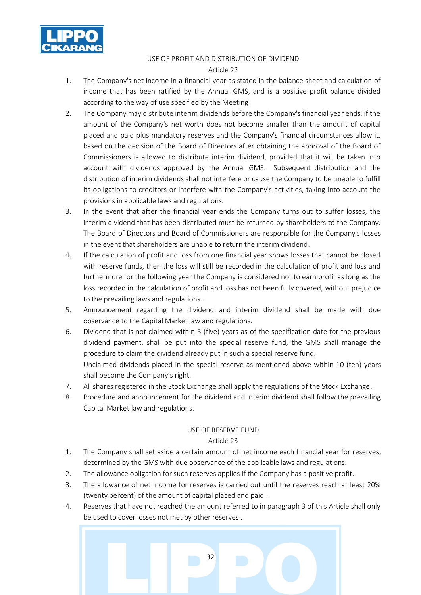

#### USE OF PROFIT AND DISTRIBUTION OF DIVIDEND Article 22

- 1. The Company's net income in a financial year as stated in the balance sheet and calculation of income that has been ratified by the Annual GMS, and is a positive profit balance divided according to the way of use specified by the Meeting
- 2. The Company may distribute interim dividends before the Company's financial year ends, if the amount of the Company's net worth does not become smaller than the amount of capital placed and paid plus mandatory reserves and the Company's financial circumstances allow it, based on the decision of the Board of Directors after obtaining the approval of the Board of Commissioners is allowed to distribute interim dividend, provided that it will be taken into account with dividends approved by the Annual GMS. Subsequent distribution and the distribution of interim dividends shall not interfere or cause the Company to be unable to fulfill its obligations to creditors or interfere with the Company's activities, taking into account the provisions in applicable laws and regulations.
- 3. In the event that after the financial year ends the Company turns out to suffer losses, the interim dividend that has been distributed must be returned by shareholders to the Company. The Board of Directors and Board of Commissioners are responsible for the Company's losses in the event that shareholders are unable to return the interim dividend.
- 4. If the calculation of profit and loss from one financial year shows losses that cannot be closed with reserve funds, then the loss will still be recorded in the calculation of profit and loss and furthermore for the following year the Company is considered not to earn profit as long as the loss recorded in the calculation of profit and loss has not been fully covered, without prejudice to the prevailing laws and regulations..
- 5. Announcement regarding the dividend and interim dividend shall be made with due observance to the Capital Market law and regulations.
- 6. Dividend that is not claimed within 5 (five) years as of the specification date for the previous dividend payment, shall be put into the special reserve fund, the GMS shall manage the procedure to claim the dividend already put in such a special reserve fund.

Unclaimed dividends placed in the special reserve as mentioned above within 10 (ten) years shall become the Company's right.

- 7. All shares registered in the Stock Exchange shall apply the regulations of the Stock Exchange.
- 8. Procedure and announcement for the dividend and interim dividend shall follow the prevailing Capital Market law and regulations.

#### USE OF RESERVE FUND

- 1. The Company shall set aside a certain amount of net income each financial year for reserves, determined by the GMS with due observance of the applicable laws and regulations.
- 2. The allowance obligation for such reserves applies if the Company has a positive profit.
- 3. The allowance of net income for reserves is carried out until the reserves reach at least 20% (twenty percent) of the amount of capital placed and paid .
- 4. Reserves that have not reached the amount referred to in paragraph 3 of this Article shall only be used to cover losses not met by other reserves .

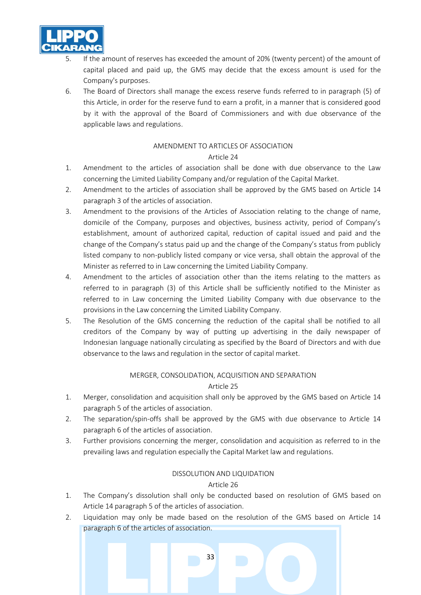

- 5. If the amount of reserves has exceeded the amount of 20% (twenty percent) of the amount of capital placed and paid up, the GMS may decide that the excess amount is used for the Company's purposes.
- 6. The Board of Directors shall manage the excess reserve funds referred to in paragraph (5) of this Article, in order for the reserve fund to earn a profit, in a manner that is considered good by it with the approval of the Board of Commissioners and with due observance of the applicable laws and regulations.

## AMENDMENT TO ARTICLES OF ASSOCIATION

## Article 24

- 1. Amendment to the articles of association shall be done with due observance to the Law concerning the Limited Liability Company and/or regulation of the Capital Market.
- 2. Amendment to the articles of association shall be approved by the GMS based on Article 14 paragraph 3 of the articles of association.
- 3. Amendment to the provisions of the Articles of Association relating to the change of name, domicile of the Company, purposes and objectives, business activity, period of Company's establishment, amount of authorized capital, reduction of capital issued and paid and the change of the Company's status paid up and the change of the Company's status from publicly listed company to non-publicly listed company or vice versa, shall obtain the approval of the Minister as referred to in Law concerning the Limited Liability Company.
- 4. Amendment to the articles of association other than the items relating to the matters as referred to in paragraph (3) of this Article shall be sufficiently notified to the Minister as referred to in Law concerning the Limited Liability Company with due observance to the provisions in the Law concerning the Limited Liability Company.
- 5. The Resolution of the GMS concerning the reduction of the capital shall be notified to all creditors of the Company by way of putting up advertising in the daily newspaper of Indonesian language nationally circulating as specified by the Board of Directors and with due observance to the laws and regulation in the sector of capital market.

## MERGER, CONSOLIDATION, ACQUISITION AND SEPARATION

## Article 25

- 1. Merger, consolidation and acquisition shall only be approved by the GMS based on Article 14 paragraph 5 of the articles of association.
- 2. The separation/spin-offs shall be approved by the GMS with due observance to Article 14 paragraph 6 of the articles of association.
- 3. Further provisions concerning the merger, consolidation and acquisition as referred to in the prevailing laws and regulation especially the Capital Market law and regulations.

#### DISSOLUTION AND LIQUIDATION

#### Article 26

- 1. The Company's dissolution shall only be conducted based on resolution of GMS based on Article 14 paragraph 5 of the articles of association.
- 2. Liquidation may only be made based on the resolution of the GMS based on Article 14 paragraph 6 of the articles of association.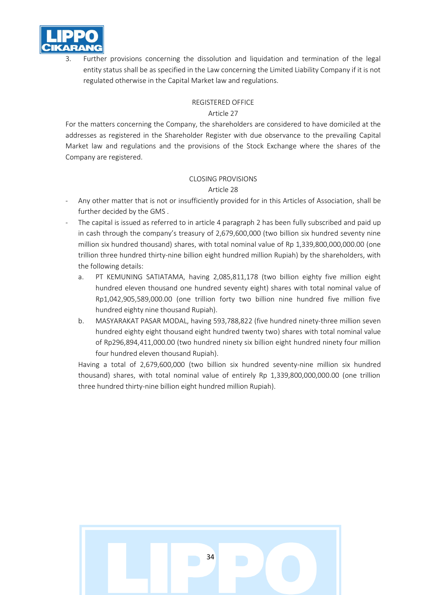

Further provisions concerning the dissolution and liquidation and termination of the legal entity status shall be as specified in the Law concerning the Limited Liability Company if it is not regulated otherwise in the Capital Market law and regulations.

## REGISTERED OFFICE

## Article 27

For the matters concerning the Company, the shareholders are considered to have domiciled at the addresses as registered in the Shareholder Register with due observance to the prevailing Capital Market law and regulations and the provisions of the Stock Exchange where the shares of the Company are registered.

# CLOSING PROVISIONS

## Article 28

- Any other matter that is not or insufficiently provided for in this Articles of Association, shall be further decided by the GMS .
- The capital is issued as referred to in article 4 paragraph 2 has been fully subscribed and paid up in cash through the company's treasury of 2,679,600,000 (two billion six hundred seventy nine million six hundred thousand) shares, with total nominal value of Rp 1,339,800,000,000.00 (one trillion three hundred thirty-nine billion eight hundred million Rupiah) by the shareholders, with the following details:
	- a. PT KEMUNING SATIATAMA, having 2,085,811,178 (two billion eighty five million eight hundred eleven thousand one hundred seventy eight) shares with total nominal value of Rp1,042,905,589,000.00 (one trillion forty two billion nine hundred five million five hundred eighty nine thousand Rupiah).
	- b. MASYARAKAT PASAR MODAL, having 593,788,822 (five hundred ninety-three million seven hundred eighty eight thousand eight hundred twenty two) shares with total nominal value of Rp296,894,411,000.00 (two hundred ninety six billion eight hundred ninety four million four hundred eleven thousand Rupiah).

Having a total of 2,679,600,000 (two billion six hundred seventy-nine million six hundred thousand) shares, with total nominal value of entirely Rp 1,339,800,000,000.00 (one trillion three hundred thirty-nine billion eight hundred million Rupiah).

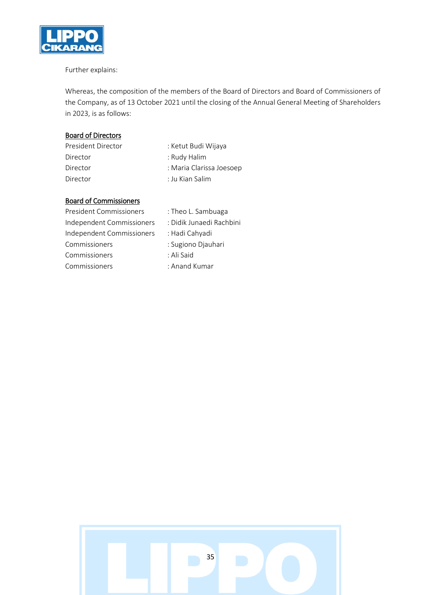

## Further explains:

Whereas, the composition of the members of the Board of Directors and Board of Commissioners of the Company, as of 13 October 2021 until the closing of the Annual General Meeting of Shareholders in 2023, is as follows:

## Board of Directors

| President Director | : Ketut Budi Wijaya      |
|--------------------|--------------------------|
| Director           | : Rudy Halim             |
| Director           | : Maria Clarissa Joesoep |
| Director           | : Ju Kian Salim          |

# Board of Commissioners

| <b>President Commissioners</b> | : Theo L. Sambuaga       |
|--------------------------------|--------------------------|
| Independent Commissioners      | : Didik Junaedi Rachbini |
| Independent Commissioners      | : Hadi Cahyadi           |
| Commissioners                  | : Sugiono Djauhari       |
| Commissioners                  | : Ali Said               |
| Commissioners                  | : Anand Kumar            |